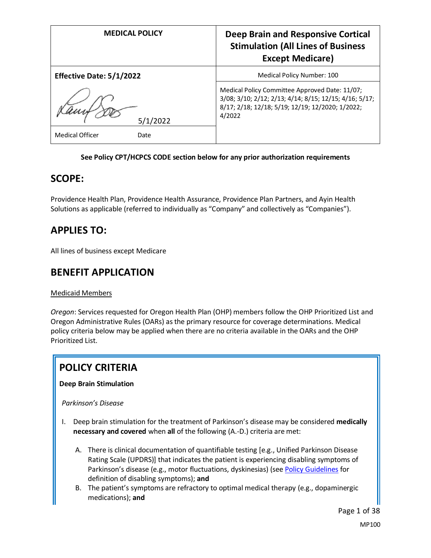| <b>MEDICAL POLICY</b>           | Deep Brain and Responsive Cortical<br><b>Stimulation (All Lines of Business</b><br><b>Except Medicare)</b>                                                             |
|---------------------------------|------------------------------------------------------------------------------------------------------------------------------------------------------------------------|
| <b>Effective Date: 5/1/2022</b> | Medical Policy Number: 100                                                                                                                                             |
| 5/1/2022                        | Medical Policy Committee Approved Date: 11/07;<br>3/08; 3/10; 2/12; 2/13; 4/14; 8/15; 12/15; 4/16; 5/17;<br>8/17; 2/18; 12/18; 5/19; 12/19; 12/2020; 1/2022;<br>4/2022 |
| <b>Medical Officer</b><br>Date  |                                                                                                                                                                        |

# **See Policy CPT/HCPCS CODE section below for any prior authorization requirements**

# **SCOPE:**

Providence Health Plan, Providence Health Assurance, Providence Plan Partners, and Ayin Health Solutions as applicable (referred to individually as "Company" and collectively as "Companies").

# **APPLIES TO:**

All lines of business except Medicare

# **BENEFIT APPLICATION**

# Medicaid Members

*Oregon*: Services requested for Oregon Health Plan (OHP) members follow the OHP Prioritized List and Oregon Administrative Rules (OARs) as the primary resource for coverage determinations. Medical policy criteria below may be applied when there are no criteria available in the OARs and the OHP Prioritized List.

# **POLICY CRITERIA**

**Deep Brain Stimulation** 

*Parkinson's Disease*

- I. Deep brain stimulation for the treatment of Parkinson's disease may be considered **medically necessary and covered** when **all** of the following (A.-D.) criteria are met:
	- A. There is clinical documentation of quantifiable testing [e.g., Unified Parkinson Disease Rating Scale (UPDRS)] that indicates the patient is experiencing disabling symptoms of Parkinson's disease (e.g., motor fluctuations, dyskinesias) (se[e Policy Guidelines](#page-2-0) for definition of disabling symptoms); **and**
	- B. The patient's symptoms are refractory to optimal medical therapy (e.g., dopaminergic medications); **and**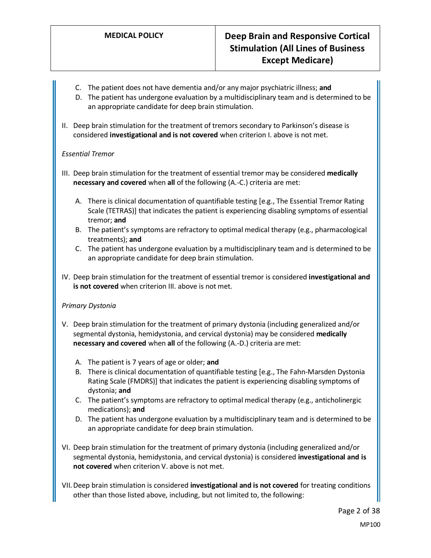- C. The patient does not have dementia and/or any major psychiatric illness; **and**
- D. The patient has undergone evaluation by a multidisciplinary team and is determined to be an appropriate candidate for deep brain stimulation.
- II. Deep brain stimulation for the treatment of tremors secondary to Parkinson's disease is considered **investigational and is not covered** when criterion I. above is not met.

# *Essential Tremor*

- III. Deep brain stimulation for the treatment of essential tremor may be considered **medically necessary and covered** when **all** of the following (A.-C.) criteria are met:
	- A. There is clinical documentation of quantifiable testing [e.g., The Essential Tremor Rating Scale (TETRAS)] that indicates the patient is experiencing disabling symptoms of essential tremor; **and**
	- B. The patient's symptoms are refractory to optimal medical therapy (e.g., pharmacological treatments); **and**
	- C. The patient has undergone evaluation by a multidisciplinary team and is determined to be an appropriate candidate for deep brain stimulation.
- IV. Deep brain stimulation for the treatment of essential tremor is considered **investigational and is not covered** when criterion III. above is not met.

# *Primary Dystonia*

- V. Deep brain stimulation for the treatment of primary dystonia (including generalized and/or segmental dystonia, hemidystonia, and cervical dystonia) may be considered **medically necessary and covered** when **all** of the following (A.-D.) criteria are met:
	- A. The patient is 7 years of age or older; **and**
	- B. There is clinical documentation of quantifiable testing [e.g., The Fahn-Marsden Dystonia Rating Scale (FMDRS)] that indicates the patient is experiencing disabling symptoms of dystonia; **and**
	- C. The patient's symptoms are refractory to optimal medical therapy (e.g., anticholinergic medications); **and**
	- D. The patient has undergone evaluation by a multidisciplinary team and is determined to be an appropriate candidate for deep brain stimulation.
- VI. Deep brain stimulation for the treatment of primary dystonia (including generalized and/or segmental dystonia, hemidystonia, and cervical dystonia) is considered **investigational and is not covered** when criterion V. above is not met.
- VII.Deep brain stimulation is considered **investigational and is not covered** for treating conditions other than those listed above, including, but not limited to, the following: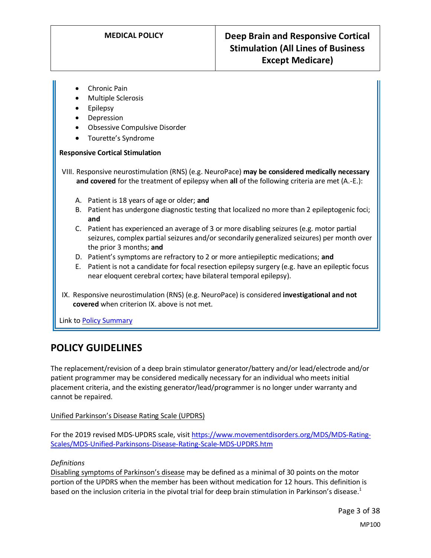- Chronic Pain
- Multiple Sclerosis
- Epilepsy
- Depression
- Obsessive Compulsive Disorder
- Tourette's Syndrome

#### **Responsive Cortical Stimulation**

VIII. Responsive neurostimulation (RNS) (e.g. NeuroPace) **may be considered medically necessary and covered** for the treatment of epilepsy when **all** of the following criteria are met (A.-E.):

- A. Patient is 18 years of age or older; **and**
- B. Patient has undergone diagnostic testing that localized no more than 2 epileptogenic foci; **and**
- C. Patient has experienced an average of 3 or more disabling seizures (e.g. motor partial seizures, complex partial seizures and/or secondarily generalized seizures) per month over the prior 3 months; **and**
- D. Patient's symptoms are refractory to 2 or more antiepileptic medications; **and**
- E. Patient is not a candidate for focal resection epilepsy surgery (e.g. have an epileptic focus near eloquent cerebral cortex; have bilateral temporal epilepsy).
- IX. Responsive neurostimulation (RNS) (e.g. NeuroPace) is considered **investigational and not covered** when criterion IX. above is not met.

Link t[o Policy Summary](#page-24-0)

# **POLICY GUIDELINES**

The replacement/revision of a deep brain stimulator generator/battery and/or lead/electrode and/or patient programmer may be considered medically necessary for an individual who meets initial placement criteria, and the existing generator/lead/programmer is no longer under warranty and cannot be repaired.

#### Unified Parkinson's Disease Rating Scale (UPDRS)

For the 2019 revised MDS-UPDRS scale, visit [https://www.movementdisorders.org/MDS/MDS-Rating-](https://www.movementdisorders.org/MDS/MDS-Rating-Scales/MDS-Unified-Parkinsons-Disease-Rating-Scale-MDS-UPDRS.htm)[Scales/MDS-Unified-Parkinsons-Disease-Rating-Scale-MDS-UPDRS.htm](https://www.movementdisorders.org/MDS/MDS-Rating-Scales/MDS-Unified-Parkinsons-Disease-Rating-Scale-MDS-UPDRS.htm)

#### <span id="page-2-0"></span>*Definitions*

Disabling symptoms of Parkinson's disease may be defined as a minimal of 30 points on the motor portion of the UPDRS when the member has been without medication for 12 hours. This definition is based on the inclusion criteria in the pivotal trial for deep brain stimulation in Parkinson's disease.<sup>1</sup>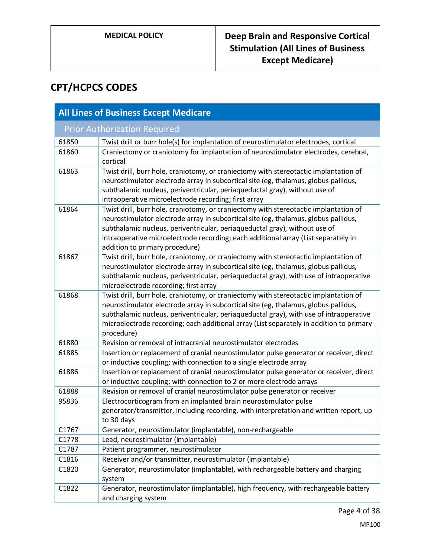# **CPT/HCPCS CODES**

| <b>All Lines of Business Except Medicare</b> |                                                                                                                                                                                                                                                                                                                                                                                   |  |
|----------------------------------------------|-----------------------------------------------------------------------------------------------------------------------------------------------------------------------------------------------------------------------------------------------------------------------------------------------------------------------------------------------------------------------------------|--|
|                                              | <b>Prior Authorization Required</b>                                                                                                                                                                                                                                                                                                                                               |  |
| 61850                                        | Twist drill or burr hole(s) for implantation of neurostimulator electrodes, cortical                                                                                                                                                                                                                                                                                              |  |
| 61860                                        | Craniectomy or craniotomy for implantation of neurostimulator electrodes, cerebral,<br>cortical                                                                                                                                                                                                                                                                                   |  |
| 61863                                        | Twist drill, burr hole, craniotomy, or craniectomy with stereotactic implantation of<br>neurostimulator electrode array in subcortical site (eg, thalamus, globus pallidus,<br>subthalamic nucleus, periventricular, periaqueductal gray), without use of<br>intraoperative microelectrode recording; first array                                                                 |  |
| 61864                                        | Twist drill, burr hole, craniotomy, or craniectomy with stereotactic implantation of<br>neurostimulator electrode array in subcortical site (eg, thalamus, globus pallidus,<br>subthalamic nucleus, periventricular, periaqueductal gray), without use of<br>intraoperative microelectrode recording; each additional array (List separately in<br>addition to primary procedure) |  |
| 61867                                        | Twist drill, burr hole, craniotomy, or craniectomy with stereotactic implantation of<br>neurostimulator electrode array in subcortical site (eg, thalamus, globus pallidus,<br>subthalamic nucleus, periventricular, periaqueductal gray), with use of intraoperative<br>microelectrode recording; first array                                                                    |  |
| 61868                                        | Twist drill, burr hole, craniotomy, or craniectomy with stereotactic implantation of<br>neurostimulator electrode array in subcortical site (eg, thalamus, globus pallidus,<br>subthalamic nucleus, periventricular, periaqueductal gray), with use of intraoperative<br>microelectrode recording; each additional array (List separately in addition to primary<br>procedure)    |  |
| 61880                                        | Revision or removal of intracranial neurostimulator electrodes                                                                                                                                                                                                                                                                                                                    |  |
| 61885                                        | Insertion or replacement of cranial neurostimulator pulse generator or receiver, direct<br>or inductive coupling; with connection to a single electrode array                                                                                                                                                                                                                     |  |
| 61886                                        | Insertion or replacement of cranial neurostimulator pulse generator or receiver, direct<br>or inductive coupling; with connection to 2 or more electrode arrays                                                                                                                                                                                                                   |  |
| 61888                                        | Revision or removal of cranial neurostimulator pulse generator or receiver                                                                                                                                                                                                                                                                                                        |  |
| 95836                                        | Electrocorticogram from an implanted brain neurostimulator pulse<br>generator/transmitter, including recording, with interpretation and written report, up<br>to 30 days                                                                                                                                                                                                          |  |
| C1767                                        | Generator, neurostimulator (implantable), non-rechargeable                                                                                                                                                                                                                                                                                                                        |  |
| C1778                                        | Lead, neurostimulator (implantable)                                                                                                                                                                                                                                                                                                                                               |  |
| C1787                                        | Patient programmer, neurostimulator                                                                                                                                                                                                                                                                                                                                               |  |
| C1816                                        | Receiver and/or transmitter, neurostimulator (implantable)                                                                                                                                                                                                                                                                                                                        |  |
| C1820                                        | Generator, neurostimulator (implantable), with rechargeable battery and charging<br>system                                                                                                                                                                                                                                                                                        |  |
| C1822                                        | Generator, neurostimulator (implantable), high frequency, with rechargeable battery<br>and charging system                                                                                                                                                                                                                                                                        |  |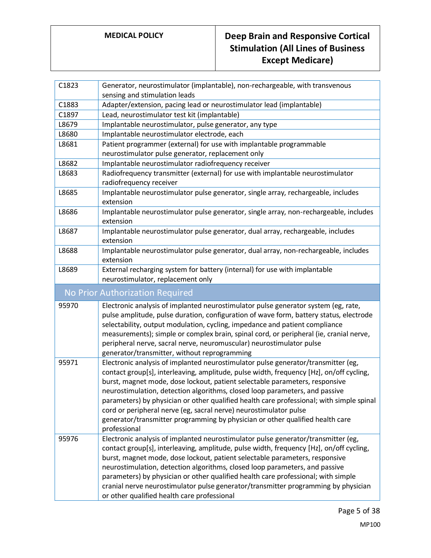| C1823                           | Generator, neurostimulator (implantable), non-rechargeable, with transvenous                                                                       |  |
|---------------------------------|----------------------------------------------------------------------------------------------------------------------------------------------------|--|
|                                 | sensing and stimulation leads                                                                                                                      |  |
| C1883                           | Adapter/extension, pacing lead or neurostimulator lead (implantable)                                                                               |  |
| C1897                           | Lead, neurostimulator test kit (implantable)                                                                                                       |  |
| L8679                           | Implantable neurostimulator, pulse generator, any type                                                                                             |  |
| L8680                           | Implantable neurostimulator electrode, each                                                                                                        |  |
| L8681                           | Patient programmer (external) for use with implantable programmable                                                                                |  |
|                                 | neurostimulator pulse generator, replacement only                                                                                                  |  |
| L8682                           | Implantable neurostimulator radiofrequency receiver                                                                                                |  |
| L8683                           | Radiofrequency transmitter (external) for use with implantable neurostimulator<br>radiofrequency receiver                                          |  |
| L8685                           | Implantable neurostimulator pulse generator, single array, rechargeable, includes<br>extension                                                     |  |
| L8686                           | Implantable neurostimulator pulse generator, single array, non-rechargeable, includes<br>extension                                                 |  |
| L8687                           | Implantable neurostimulator pulse generator, dual array, rechargeable, includes<br>extension                                                       |  |
| L8688                           | Implantable neurostimulator pulse generator, dual array, non-rechargeable, includes<br>extension                                                   |  |
| L8689                           | External recharging system for battery (internal) for use with implantable<br>neurostimulator, replacement only                                    |  |
| No Prior Authorization Required |                                                                                                                                                    |  |
| 95970                           | Electronic analysis of implanted neurostimulator pulse generator system (eg, rate,                                                                 |  |
|                                 | pulse amplitude, pulse duration, configuration of wave form, battery status, electrode                                                             |  |
|                                 | selectability, output modulation, cycling, impedance and patient compliance                                                                        |  |
|                                 | measurements); simple or complex brain, spinal cord, or peripheral (ie, cranial nerve,                                                             |  |
|                                 | peripheral nerve, sacral nerve, neuromuscular) neurostimulator pulse                                                                               |  |
|                                 | generator/transmitter, without reprogramming                                                                                                       |  |
| 95971                           | Electronic analysis of implanted neurostimulator pulse generator/transmitter (eg,                                                                  |  |
|                                 | contact group[s], interleaving, amplitude, pulse width, frequency [Hz], on/off cycling,                                                            |  |
|                                 | burst, magnet mode, dose lockout, patient selectable parameters, responsive                                                                        |  |
|                                 | neurostimulation, detection algorithms, closed loop parameters, and passive                                                                        |  |
|                                 | parameters) by physician or other qualified health care professional; with simple spinal                                                           |  |
|                                 | cord or peripheral nerve (eg, sacral nerve) neurostimulator pulse<br>generator/transmitter programming by physician or other qualified health care |  |
|                                 | professional                                                                                                                                       |  |
| 95976                           | Electronic analysis of implanted neurostimulator pulse generator/transmitter (eg,                                                                  |  |
|                                 | contact group[s], interleaving, amplitude, pulse width, frequency [Hz], on/off cycling,                                                            |  |
|                                 | burst, magnet mode, dose lockout, patient selectable parameters, responsive                                                                        |  |
|                                 | neurostimulation, detection algorithms, closed loop parameters, and passive                                                                        |  |
|                                 | parameters) by physician or other qualified health care professional; with simple                                                                  |  |
|                                 | cranial nerve neurostimulator pulse generator/transmitter programming by physician                                                                 |  |
|                                 | or other qualified health care professional                                                                                                        |  |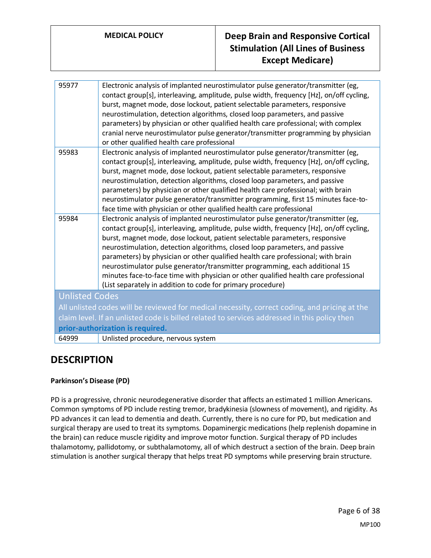| 95977                 | Electronic analysis of implanted neurostimulator pulse generator/transmitter (eg,<br>contact group[s], interleaving, amplitude, pulse width, frequency [Hz], on/off cycling,<br>burst, magnet mode, dose lockout, patient selectable parameters, responsive<br>neurostimulation, detection algorithms, closed loop parameters, and passive<br>parameters) by physician or other qualified health care professional; with complex<br>cranial nerve neurostimulator pulse generator/transmitter programming by physician<br>or other qualified health care professional                                                                                                |
|-----------------------|----------------------------------------------------------------------------------------------------------------------------------------------------------------------------------------------------------------------------------------------------------------------------------------------------------------------------------------------------------------------------------------------------------------------------------------------------------------------------------------------------------------------------------------------------------------------------------------------------------------------------------------------------------------------|
| 95983                 | Electronic analysis of implanted neurostimulator pulse generator/transmitter (eg,<br>contact group[s], interleaving, amplitude, pulse width, frequency [Hz], on/off cycling,<br>burst, magnet mode, dose lockout, patient selectable parameters, responsive<br>neurostimulation, detection algorithms, closed loop parameters, and passive<br>parameters) by physician or other qualified health care professional; with brain<br>neurostimulator pulse generator/transmitter programming, first 15 minutes face-to-<br>face time with physician or other qualified health care professional                                                                         |
| 95984                 | Electronic analysis of implanted neurostimulator pulse generator/transmitter (eg,<br>contact group[s], interleaving, amplitude, pulse width, frequency [Hz], on/off cycling,<br>burst, magnet mode, dose lockout, patient selectable parameters, responsive<br>neurostimulation, detection algorithms, closed loop parameters, and passive<br>parameters) by physician or other qualified health care professional; with brain<br>neurostimulator pulse generator/transmitter programming, each additional 15<br>minutes face-to-face time with physician or other qualified health care professional<br>(List separately in addition to code for primary procedure) |
| <b>Unlisted Codes</b> |                                                                                                                                                                                                                                                                                                                                                                                                                                                                                                                                                                                                                                                                      |
|                       | All unlisted codes will be reviewed for medical necessity, correct coding, and pricing at the                                                                                                                                                                                                                                                                                                                                                                                                                                                                                                                                                                        |
|                       | claim level. If an unlisted code is billed related to services addressed in this policy then                                                                                                                                                                                                                                                                                                                                                                                                                                                                                                                                                                         |
|                       | prior-authorization is required.                                                                                                                                                                                                                                                                                                                                                                                                                                                                                                                                                                                                                                     |
| 64999                 | Unlisted procedure, nervous system                                                                                                                                                                                                                                                                                                                                                                                                                                                                                                                                                                                                                                   |
|                       |                                                                                                                                                                                                                                                                                                                                                                                                                                                                                                                                                                                                                                                                      |

# **DESCRIPTION**

# **Parkinson's Disease (PD)**

PD is a progressive, chronic neurodegenerative disorder that affects an estimated 1 million Americans. Common symptoms of PD include resting tremor, bradykinesia (slowness of movement), and rigidity. As PD advances it can lead to dementia and death. Currently, there is no cure for PD, but medication and surgical therapy are used to treat its symptoms. Dopaminergic medications (help replenish dopamine in the brain) can reduce muscle rigidity and improve motor function. Surgical therapy of PD includes thalamotomy, pallidotomy, or subthalamotomy, all of which destruct a section of the brain. Deep brain stimulation is another surgical therapy that helps treat PD symptoms while preserving brain structure.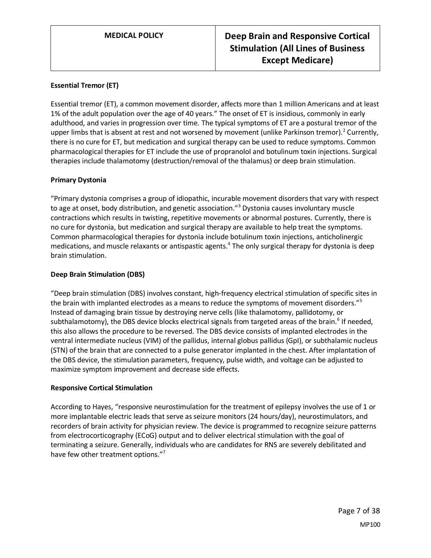# **Essential Tremor (ET)**

Essential tremor (ET), a common movement disorder, affects more than 1 million Americans and at least 1% of the adult population over the age of 40 years." The onset of ET is insidious, commonly in early adulthood, and varies in progression over time. The typical symptoms of ET are a postural tremor of the upper limbs that is absent at rest and not worsened by movement (unlike Parkinson tremor).<sup>2</sup> Currently, there is no cure for ET, but medication and surgical therapy can be used to reduce symptoms. Common pharmacological therapies for ET include the use of propranolol and botulinum toxin injections. Surgical therapies include thalamotomy (destruction/removal of the thalamus) or deep brain stimulation.

### **Primary Dystonia**

"Primary dystonia comprises a group of idiopathic, incurable movement disorders that vary with respect to age at onset, body distribution, and genetic association."<sup>3</sup> Dystonia causes involuntary muscle contractions which results in twisting, repetitive movements or abnormal postures. Currently, there is no cure for dystonia, but medication and surgical therapy are available to help treat the symptoms. Common pharmacological therapies for dystonia include botulinum toxin injections, anticholinergic medications, and muscle relaxants or antispastic agents.<sup>4</sup> The only surgical therapy for dystonia is deep brain stimulation.

#### **Deep Brain Stimulation (DBS)**

"Deep brain stimulation (DBS) involves constant, high-frequency electrical stimulation of specific sites in the brain with implanted electrodes as a means to reduce the symptoms of movement disorders."<sup>5</sup> Instead of damaging brain tissue by destroying nerve cells (like thalamotomy, pallidotomy, or subthalamotomy), the DBS device blocks electrical signals from targeted areas of the brain.<sup>6</sup> If needed, this also allows the procedure to be reversed. The DBS device consists of implanted electrodes in the ventral intermediate nucleus (VIM) of the pallidus, internal globus pallidus (GpI), or subthalamic nucleus (STN) of the brain that are connected to a pulse generator implanted in the chest. After implantation of the DBS device, the stimulation parameters, frequency, pulse width, and voltage can be adjusted to maximize symptom improvement and decrease side effects.

#### **Responsive Cortical Stimulation**

According to Hayes, "responsive neurostimulation for the treatment of epilepsy involves the use of 1 or more implantable electric leads that serve as seizure monitors (24 hours/day), neurostimulators, and recorders of brain activity for physician review. The device is programmed to recognize seizure patterns from electrocorticography (ECoG) output and to deliver electrical stimulation with the goal of terminating a seizure. Generally, individuals who are candidates for RNS are severely debilitated and have few other treatment options."<sup>7</sup>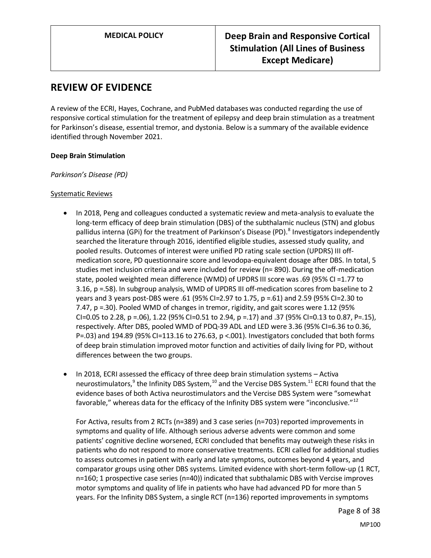# **REVIEW OF EVIDENCE**

A review of the ECRI, Hayes, Cochrane, and PubMed databases was conducted regarding the use of responsive cortical stimulation for the treatment of epilepsy and deep brain stimulation as a treatment for Parkinson's disease, essential tremor, and dystonia. Below is a summary of the available evidence identified through November 2021.

### **Deep Brain Stimulation**

*Parkinson's Disease (PD)*

### Systematic Reviews

- In 2018, Peng and colleagues conducted a systematic review and meta-analysis to evaluate the long-term efficacy of deep brain stimulation (DBS) of the subthalamic nucleus (STN) and globus pallidus interna (GPi) for the treatment of Parkinson's Disease (PD).<sup>8</sup> Investigators independently searched the literature through 2016, identified eligible studies, assessed study quality, and pooled results. Outcomes of interest were unified PD rating scale section (UPDRS) III offmedication score, PD questionnaire score and levodopa-equivalent dosage after DBS. In total, 5 studies met inclusion criteria and were included for review (n= 890). During the off-medication state, pooled weighted mean difference (WMD) of UPDRS III score was .69 (95% CI =1.77 to 3.16, p =.58). In subgroup analysis, WMD of UPDRS III off-medication scores from baseline to 2 years and 3 years post-DBS were .61 (95% CI=2.97 to 1.75, p =.61) and 2.59 (95% CI=2.30 to 7.47, p =.30). Pooled WMD of changes in tremor, rigidity, and gait scores were 1.12 (95% CI=0.05 to 2.28, p =.06), 1.22 (95% CI=0.51 to 2.94, p =.17) and .37 (95% CI=0.13 to 0.87, P=.15), respectively. After DBS, pooled WMD of PDQ-39 ADL and LED were 3.36 (95% CI=6.36 to 0.36, P=.03) and 194.89 (95% CI=113.16 to 276.63, p <.001). Investigators concluded that both forms of deep brain stimulation improved motor function and activities of daily living for PD, without differences between the two groups.
- In 2018, ECRI assessed the efficacy of three deep brain stimulation systems Activa neurostimulators,<sup>9</sup> the Infinity DBS System,<sup>10</sup> and the Vercise DBS System.<sup>11</sup> ECRI found that the evidence bases of both Activa neurostimulators and the Vercise DBS System were "somewhat favorable," whereas data for the efficacy of the Infinity DBS system were "inconclusive." $^{12}$

For Activa, results from 2 RCTs (n=389) and 3 case series (n=703) reported improvements in symptoms and quality of life. Although serious adverse advents were common and some patients' cognitive decline worsened, ECRI concluded that benefits may outweigh these risks in patients who do not respond to more conservative treatments. ECRI called for additional studies to assess outcomes in patient with early and late symptoms, outcomes beyond 4 years, and comparator groups using other DBS systems. Limited evidence with short-term follow-up (1 RCT, n=160; 1 prospective case series (n=40)) indicated that subthalamic DBS with Vercise improves motor symptoms and quality of life in patients who have had advanced PD for more than 5 years. For the Infinity DBS System, a single RCT (n=136) reported improvements in symptoms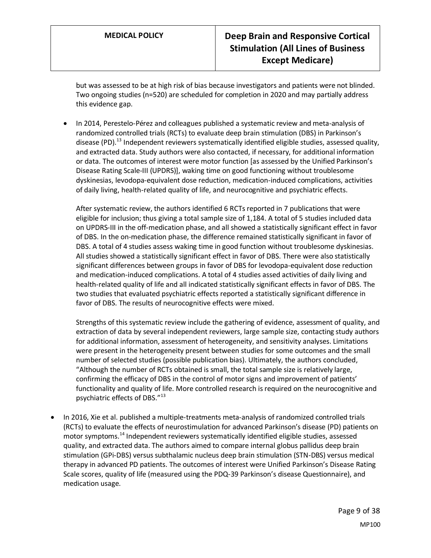but was assessed to be at high risk of bias because investigators and patients were not blinded. Two ongoing studies (n=520) are scheduled for completion in 2020 and may partially address this evidence gap.

• In 2014, Perestelo-Pérez and colleagues published a systematic review and meta-analysis of randomized controlled trials (RCTs) to evaluate deep brain stimulation (DBS) in Parkinson's disease (PD).<sup>13</sup> Independent reviewers systematically identified eligible studies, assessed quality, and extracted data. Study authors were also contacted, if necessary, for additional information or data. The outcomes of interest were motor function [as assessed by the Unified Parkinson's Disease Rating Scale-III (UPDRS)], waking time on good functioning without troublesome dyskinesias, levodopa-equivalent dose reduction, medication-induced complications, activities of daily living, health-related quality of life, and neurocognitive and psychiatric effects.

After systematic review, the authors identified 6 RCTs reported in 7 publications that were eligible for inclusion; thus giving a total sample size of 1,184. A total of 5 studies included data on UPDRS-III in the off-medication phase, and all showed a statistically significant effect in favor of DBS. In the on-medication phase, the difference remained statistically significant in favor of DBS. A total of 4 studies assess waking time in good function without troublesome dyskinesias. All studies showed a statistically significant effect in favor of DBS. There were also statistically significant differences between groups in favor of DBS for levodopa-equivalent dose reduction and medication-induced complications. A total of 4 studies assed activities of daily living and health-related quality of life and all indicated statistically significant effects in favor of DBS. The two studies that evaluated psychiatric effects reported a statistically significant difference in favor of DBS. The results of neurocognitive effects were mixed.

Strengths of this systematic review include the gathering of evidence, assessment of quality, and extraction of data by several independent reviewers, large sample size, contacting study authors for additional information, assessment of heterogeneity, and sensitivity analyses. Limitations were present in the heterogeneity present between studies for some outcomes and the small number of selected studies (possible publication bias). Ultimately, the authors concluded, "Although the number of RCTs obtained is small, the total sample size is relatively large, confirming the efficacy of DBS in the control of motor signs and improvement of patients' functionality and quality of life. More controlled research is required on the neurocognitive and psychiatric effects of DBS."<sup>13</sup>

• In 2016, Xie et al. published a multiple-treatments meta-analysis of randomized controlled trials (RCTs) to evaluate the effects of neurostimulation for advanced Parkinson's disease (PD) patients on motor symptoms.<sup>14</sup> Independent reviewers systematically identified eligible studies, assessed quality, and extracted data. The authors aimed to compare internal globus pallidus deep brain stimulation (GPi-DBS) versus subthalamic nucleus deep brain stimulation (STN-DBS) versus medical therapy in advanced PD patients. The outcomes of interest were Unified Parkinson's Disease Rating Scale scores, quality of life (measured using the PDQ-39 Parkinson's disease Questionnaire), and medication usage.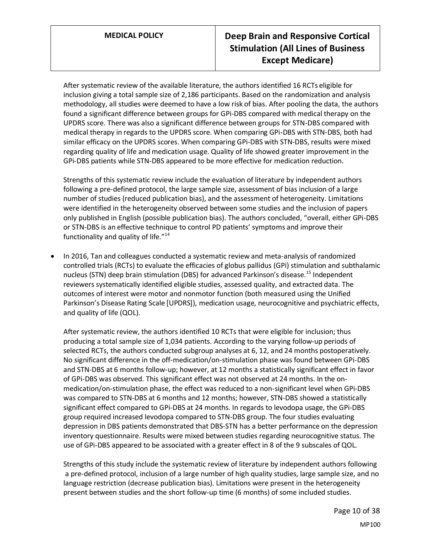After systematic review of the available literature, the authors identified 16 RCTs eligible for inclusion giving a total sample size of 2,186 participants. Based on the randomization and analysis methodology, all studies were deemed to have a low risk of bias. After pooling the data, the authors found a significant difference between groups for GPi-DBS compared with medical therapy on the UPDRS score. There was also a significant difference between groups for STN-DBS compared with medical therapy in regards to the UPDRS score. When comparing GPi-DBS with STN-DBS, both had similar efficacy on the UPDRS scores. When comparing GPi-DBS with STN-DBS, results were mixed regarding quality of life and medication usage. Quality of life showed greater improvement in the GPi-DBS patients while STN-DBS appeared to be more effective for medication reduction.

Strengths of this systematic review include the evaluation of literature by independent authors following a pre-defined protocol, the large sample size, assessment of bias inclusion of a large number of studies (reduced publication bias), and the assessment of heterogeneity. Limitations were identified in the heterogeneity observed between some studies and the inclusion of papers only published in English (possible publication bias). The authors concluded, "overall, either GPi-DBS or STN-DBS is an effective technique to control PD patients' symptoms and improve their functionality and quality of life."<sup>14</sup>

• In 2016, Tan and colleagues conducted a systematic review and meta-analysis of randomized controlled trials (RCTs) to evaluate the efficacies of globus pallidus (GPi) stimulation and subthalamic nucleus (STN) deep brain stimulation (DBS) for advanced Parkinson's disease.<sup>15</sup> Independent reviewers systematically identified eligible studies, assessed quality, and extracted data. The outcomes of interest were motor and nonmotor function (both measured using the Unified Parkinson's Disease Rating Scale [UPDRS]), medication usage, neurocognitive and psychiatric effects, and quality of life (QOL).

After systematic review, the authors identified 10 RCTs that were eligible for inclusion; thus producing a total sample size of 1,034 patients. According to the varying follow-up periods of selected RCTs, the authors conducted subgroup analyses at 6, 12, and 24 months postoperatively. No significant difference in the off-medication/on-stimulation phase was found between GPi-DBS and STN-DBS at 6 months follow-up; however, at 12 months a statistically significant effect in favor of GPi-DBS was observed. This significant effect was not observed at 24 months. In the onmedication/on-stimulation phase, the effect was reduced to a non-significant level when GPi-DBS was compared to STN-DBS at 6 months and 12 months; however, STN-DBS showed a statistically significant effect compared to GPi-DBS at 24 months. In regards to levodopa usage, the GPi-DBS group required increased levodopa compared to STN-DBS group. The four studies evaluating depression in DBS patients demonstrated that DBS-STN has a better performance on the depression inventory questionnaire. Results were mixed between studies regarding neurocognitive status. The use of GPi-DBS appeared to be associated with a greater effect in 8 of the 9 subscales of QOL.

Strengths of this study include the systematic review of literature by independent authors following a pre-defined protocol, inclusion of a large number of high quality studies, large sample size, and no language restriction (decrease publication bias). Limitations were present in the heterogeneity present between studies and the short follow-up time (6 months) of some included studies.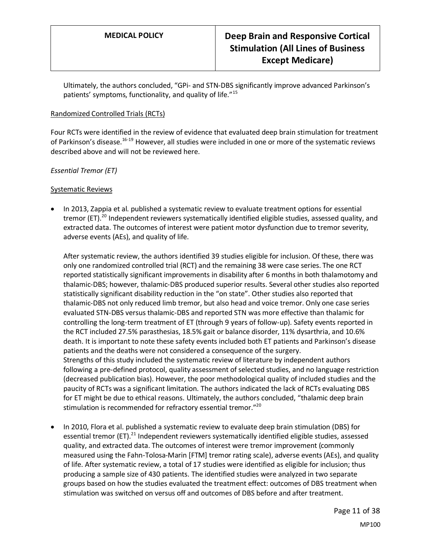Ultimately, the authors concluded, "GPi- and STN-DBS significantly improve advanced Parkinson's patients' symptoms, functionality, and quality of life."<sup>15</sup>

### Randomized Controlled Trials (RCTs)

Four RCTs were identified in the review of evidence that evaluated deep brain stimulation for treatment of Parkinson's disease.<sup>16-19</sup> However, all studies were included in one or more of the systematic reviews described above and will not be reviewed here.

*Essential Tremor (ET)*

### Systematic Reviews

• In 2013, Zappia et al. published a systematic review to evaluate treatment options for essential tremor (ET).<sup>20</sup> Independent reviewers systematically identified eligible studies, assessed quality, and extracted data. The outcomes of interest were patient motor dysfunction due to tremor severity, adverse events (AEs), and quality of life.

After systematic review, the authors identified 39 studies eligible for inclusion. Of these, there was only one randomized controlled trial (RCT) and the remaining 38 were case series. The one RCT reported statistically significant improvements in disability after 6 months in both thalamotomy and thalamic-DBS; however, thalamic-DBS produced superior results. Several other studies also reported statistically significant disability reduction in the "on state". Other studies also reported that thalamic-DBS not only reduced limb tremor, but also head and voice tremor. Only one case series evaluated STN-DBS versus thalamic-DBS and reported STN was more effective than thalamic for controlling the long-term treatment of ET (through 9 years of follow-up). Safety events reported in the RCT included 27.5% parasthesias, 18.5% gait or balance disorder, 11% dysarthria, and 10.6% death. It is important to note these safety events included both ET patients and Parkinson's disease patients and the deaths were not considered a consequence of the surgery. Strengths of this study included the systematic review of literature by independent authors following a pre-defined protocol, quality assessment of selected studies, and no language restriction (decreased publication bias). However, the poor methodological quality of included studies and the paucity of RCTs was a significant limitation. The authors indicated the lack of RCTs evaluating DBS for ET might be due to ethical reasons. Ultimately, the authors concluded, "thalamic deep brain stimulation is recommended for refractory essential tremor."<sup>20</sup>

• In 2010, Flora et al. published a systematic review to evaluate deep brain stimulation (DBS) for essential tremor (ET).<sup>21</sup> Independent reviewers systematically identified eligible studies, assessed quality, and extracted data. The outcomes of interest were tremor improvement (commonly measured using the Fahn-Tolosa-Marin [FTM] tremor rating scale), adverse events (AEs), and quality of life. After systematic review, a total of 17 studies were identified as eligible for inclusion; thus producing a sample size of 430 patients. The identified studies were analyzed in two separate groups based on how the studies evaluated the treatment effect: outcomes of DBS treatment when stimulation was switched on versus off and outcomes of DBS before and after treatment.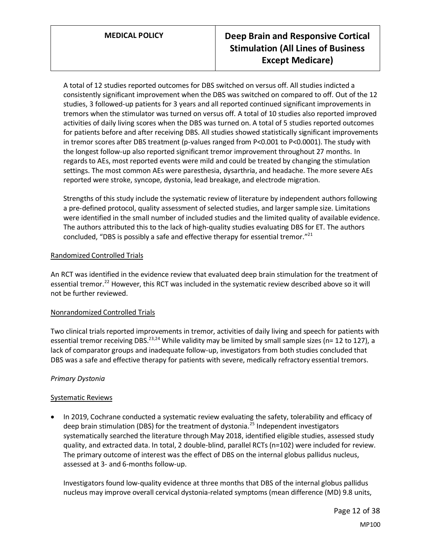A total of 12 studies reported outcomes for DBS switched on versus off. All studies indicted a consistently significant improvement when the DBS was switched on compared to off. Out of the 12 studies, 3 followed-up patients for 3 years and all reported continued significant improvements in tremors when the stimulator was turned on versus off. A total of 10 studies also reported improved activities of daily living scores when the DBS was turned on. A total of 5 studies reported outcomes for patients before and after receiving DBS. All studies showed statistically significant improvements in tremor scores after DBS treatment (p-values ranged from P<0.001 to P<0.0001). The study with the longest follow-up also reported significant tremor improvement throughout 27 months. In regards to AEs, most reported events were mild and could be treated by changing the stimulation settings. The most common AEs were paresthesia, dysarthria, and headache. The more severe AEs reported were stroke, syncope, dystonia, lead breakage, and electrode migration.

Strengths of this study include the systematic review of literature by independent authors following a pre-defined protocol, quality assessment of selected studies, and larger sample size. Limitations were identified in the small number of included studies and the limited quality of available evidence. The authors attributed this to the lack of high-quality studies evaluating DBS for ET. The authors concluded, "DBS is possibly a safe and effective therapy for essential tremor." $^{21}$ 

# Randomized Controlled Trials

An RCT was identified in the evidence review that evaluated deep brain stimulation for the treatment of essential tremor.<sup>22</sup> However, this RCT was included in the systematic review described above so it will not be further reviewed.

# Nonrandomized Controlled Trials

Two clinical trials reported improvements in tremor, activities of daily living and speech for patients with essential tremor receiving DBS.<sup>23,24</sup> While validity may be limited by small sample sizes (n= 12 to 127), a lack of comparator groups and inadequate follow-up, investigators from both studies concluded that DBS was a safe and effective therapy for patients with severe, medically refractory essential tremors.

# *Primary Dystonia*

# Systematic Reviews

• In 2019, Cochrane conducted a systematic review evaluating the safety, tolerability and efficacy of deep brain stimulation (DBS) for the treatment of dystonia.<sup>25</sup> Independent investigators systematically searched the literature through May 2018, identified eligible studies, assessed study quality, and extracted data. In total, 2 double-blind, parallel RCTs (n=102) were included for review. The primary outcome of interest was the effect of DBS on the internal globus pallidus nucleus, assessed at 3- and 6-months follow-up.

Investigators found low‐quality evidence at three months that DBS of the internal globus pallidus nucleus may improve overall cervical dystonia‐related symptoms (mean difference (MD) 9.8 units,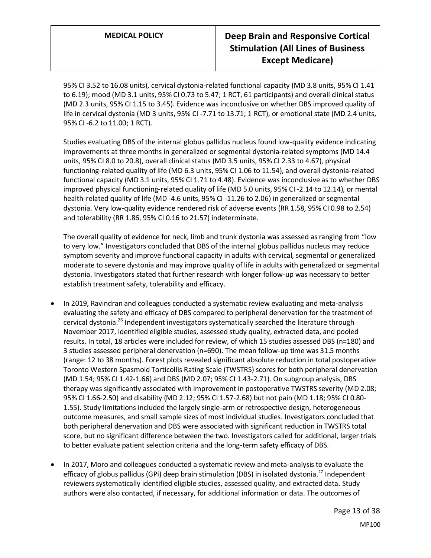95% CI 3.52 to 16.08 units), cervical dystonia‐related functional capacity (MD 3.8 units, 95% CI 1.41 to 6.19); mood (MD 3.1 units, 95% CI 0.73 to 5.47; 1 RCT, 61 participants) and overall clinical status (MD 2.3 units, 95% CI 1.15 to 3.45). Evidence was inconclusive on whether DBS improved quality of life in cervical dystonia (MD 3 units, 95% CI -7.71 to 13.71; 1 RCT), or emotional state (MD 2.4 units, 95% CI -6.2 to 11.00; 1 RCT).

Studies evaluating DBS of the internal globus pallidus nucleus found low-quality evidence indicating improvements at three months in generalized or segmental dystonia-related symptoms (MD 14.4 units, 95% CI 8.0 to 20.8), overall clinical status (MD 3.5 units, 95% CI 2.33 to 4.67), physical functioning-related quality of life (MD 6.3 units, 95% CI 1.06 to 11.54), and overall dystonia-related functional capacity (MD 3.1 units, 95% CI 1.71 to 4.48). Evidence was inconclusive as to whether DBS improved physical functioning-related quality of life (MD 5.0 units, 95% CI -2.14 to 12.14), or mental health-related quality of life (MD -4.6 units, 95% CI -11.26 to 2.06) in generalized or segmental dystonia. Very low‐quality evidence rendered risk of adverse events (RR 1.58, 95% CI 0.98 to 2.54) and tolerability (RR 1.86, 95% CI 0.16 to 21.57) indeterminate.

The overall quality of evidence for neck, limb and trunk dystonia was assessed as ranging from "low to very low." Investigators concluded that DBS of the internal globus pallidus nucleus may reduce symptom severity and improve functional capacity in adults with cervical, segmental or generalized moderate to severe dystonia and may improve quality of life in adults with generalized or segmental dystonia. Investigators stated that further research with longer follow-up was necessary to better establish treatment safety, tolerability and efficacy.

- In 2019, Ravindran and colleagues conducted a systematic review evaluating and meta-analysis evaluating the safety and efficacy of DBS compared to peripheral denervation for the treatment of cervical dystonia.<sup>26</sup> Independent investigators systematically searched the literature through November 2017, identified eligible studies, assessed study quality, extracted data, and pooled results. In total, 18 articles were included for review, of which 15 studies assessed DBS (n=180) and 3 studies assessed peripheral denervation (n=690). The mean follow-up time was 31.5 months (range: 12 to 38 months). Forest plots revealed significant absolute reduction in total postoperative Toronto Western Spasmoid Torticollis Rating Scale (TWSTRS) scores for both peripheral denervation (MD 1.54; 95% CI 1.42-1.66) and DBS (MD 2.07; 95% CI 1.43-2.71). On subgroup analysis, DBS therapy was significantly associated with improvement in postoperative TWSTRS severity (MD 2.08; 95% CI 1.66-2.50) and disability (MD 2.12; 95% CI 1.57-2.68) but not pain (MD 1.18; 95% CI 0.80- 1.55). Study limitations included the largely single-arm or retrospective design, heterogeneous outcome measures, and small sample sizes of most individual studies. Investigators concluded that both peripheral denervation and DBS were associated with significant reduction in TWSTRS total score, but no significant difference between the two. Investigators called for additional, larger trials to better evaluate patient selection criteria and the long-term safety efficacy of DBS.
- In 2017, Moro and colleagues conducted a systematic review and meta-analysis to evaluate the efficacy of globus pallidus (GPi) deep brain stimulation (DBS) in isolated dystonia.<sup>27</sup> Independent reviewers systematically identified eligible studies, assessed quality, and extracted data. Study authors were also contacted, if necessary, for additional information or data. The outcomes of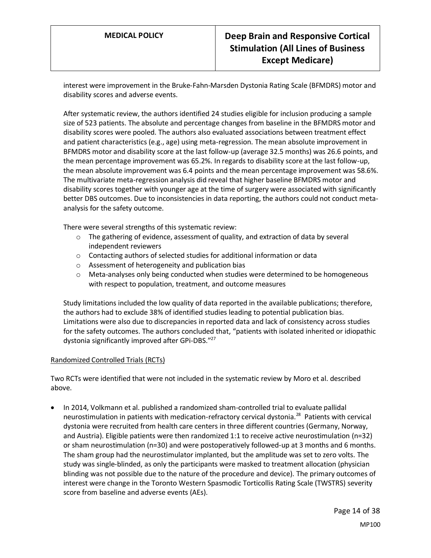interest were improvement in the Bruke-Fahn-Marsden Dystonia Rating Scale (BFMDRS) motor and disability scores and adverse events.

After systematic review, the authors identified 24 studies eligible for inclusion producing a sample size of 523 patients. The absolute and percentage changes from baseline in the BFMDRS motor and disability scores were pooled. The authors also evaluated associations between treatment effect and patient characteristics (e.g., age) using meta-regression. The mean absolute improvement in BFMDRS motor and disability score at the last follow-up (average 32.5 months) was 26.6 points, and the mean percentage improvement was 65.2%. In regards to disability score at the last follow-up, the mean absolute improvement was 6.4 points and the mean percentage improvement was 58.6%. The multivariate meta-regression analysis did reveal that higher baseline BFMDRS motor and disability scores together with younger age at the time of surgery were associated with significantly better DBS outcomes. Due to inconsistencies in data reporting, the authors could not conduct metaanalysis for the safety outcome.

There were several strengths of this systematic review:

- $\circ$  The gathering of evidence, assessment of quality, and extraction of data by several independent reviewers
- o Contacting authors of selected studies for additional information or data
- o Assessment of heterogeneity and publication bias
- $\circ$  Meta-analyses only being conducted when studies were determined to be homogeneous with respect to population, treatment, and outcome measures

Study limitations included the low quality of data reported in the available publications; therefore, the authors had to exclude 38% of identified studies leading to potential publication bias. Limitations were also due to discrepancies in reported data and lack of consistency across studies for the safety outcomes. The authors concluded that, "patients with isolated inherited or idiopathic dystonia significantly improved after GPi-DBS."<sup>27</sup>

# Randomized Controlled Trials (RCTs)

Two RCTs were identified that were not included in the systematic review by Moro et al. described above.

• In 2014, Volkmann et al. published a randomized sham-controlled trial to evaluate pallidal neurostimulation in patients with medication-refractory cervical dystonia.<sup>28</sup> Patients with cervical dystonia were recruited from health care centers in three different countries (Germany, Norway, and Austria). Eligible patients were then randomized 1:1 to receive active neurostimulation (n=32) or sham neurostimulation (n=30) and were postoperatively followed-up at 3 months and 6 months. The sham group had the neurostimulator implanted, but the amplitude was set to zero volts. The study was single-blinded, as only the participants were masked to treatment allocation (physician blinding was not possible due to the nature of the procedure and device). The primary outcomes of interest were change in the Toronto Western Spasmodic Torticollis Rating Scale (TWSTRS) severity score from baseline and adverse events (AEs).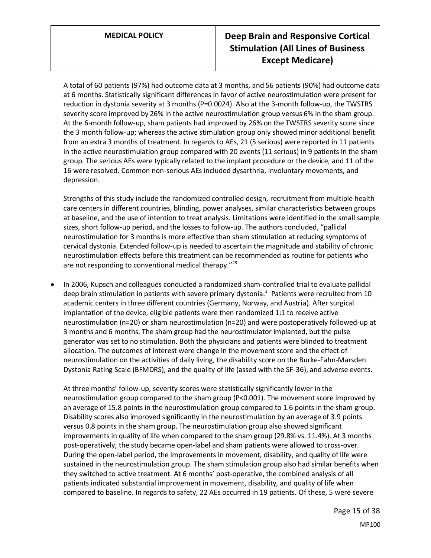A total of 60 patients (97%) had outcome data at 3 months, and 56 patients (90%) had outcome data at 6 months. Statistically significant differences in favor of active neurostimulation were present for reduction in dystonia severity at 3 months (P=0.0024). Also at the 3-month follow-up, the TWSTRS severity score improved by 26% in the active neurostimulation group versus 6% in the sham group. At the 6-month follow-up, sham patients had improved by 26% on the TWSTRS severity score since the 3 month follow-up; whereas the active stimulation group only showed minor additional benefit from an extra 3 months of treatment. In regards to AEs, 21 (5 serious) were reported in 11 patients in the active neurostimulation group compared with 20 events (11 serious) in 9 patients in the sham group. The serious AEs were typically related to the implant procedure or the device, and 11 of the 16 were resolved. Common non-serious AEs included dysarthria, involuntary movements, and depression.

Strengths of this study include the randomized controlled design, recruitment from multiple health care centers in different countries, blinding, power analyses, similar characteristics between groups at baseline, and the use of intention to treat analysis. Limitations were identified in the small sample sizes, short follow-up period, and the losses to follow-up. The authors concluded, "pallidal neurostimulation for 3 months is more effective than sham stimulation at reducing symptoms of cervical dystonia. Extended follow-up is needed to ascertain the magnitude and stability of chronic neurostimulation effects before this treatment can be recommended as routine for patients who are not responding to conventional medical therapy."<sup>28</sup>

• In 2006, Kupsch and colleagues conducted a randomized sham-controlled trial to evaluate pallidal deep brain stimulation in patients with severe primary dystonia.<sup>3</sup> Patients were recruited from 10 academic centers in three different countries (Germany, Norway, and Austria). After surgical implantation of the device, eligible patients were then randomized 1:1 to receive active neurostimulation (n=20) or sham neurostimulation (n=20) and were postoperatively followed-up at 3 months and 6 months. The sham group had the neurostimulator implanted, but the pulse generator was set to no stimulation. Both the physicians and patients were blinded to treatment allocation. The outcomes of interest were change in the movement score and the effect of neurostimulation on the activities of daily living, the disability score on the Burke-Fahn-Marsden Dystonia Rating Scale (BFMDRS), and the quality of life (assed with the SF-36), and adverse events.

At three months' follow-up, severity scores were statistically significantly lower in the neurostimulation group compared to the sham group (P<0.001). The movement score improved by an average of 15.8 points in the neurostimulation group compared to 1.6 points in the sham group. Disability scores also improved significantly in the neurostimulation by an average of 3.9 points versus 0.8 points in the sham group. The neurostimulation group also showed significant improvements in quality of life when compared to the sham group (29.8% vs. 11.4%). At 3 months post-operatively, the study became open-label and sham patients were allowed to cross-over. During the open-label period, the improvements in movement, disability, and quality of life were sustained in the neurostimulation group. The sham stimulation group also had similar benefits when they switched to active treatment. At 6 months' post-operative, the combined analysis of all patients indicated substantial improvement in movement, disability, and quality of life when compared to baseline. In regards to safety, 22 AEs occurred in 19 patients. Of these, 5 were severe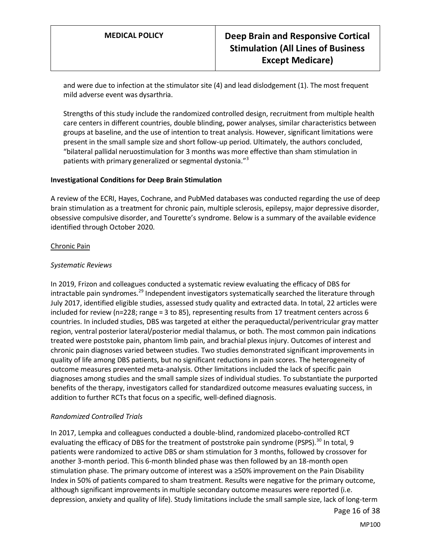and were due to infection at the stimulator site (4) and lead dislodgement (1). The most frequent mild adverse event was dysarthria.

Strengths of this study include the randomized controlled design, recruitment from multiple health care centers in different countries, double blinding, power analyses, similar characteristics between groups at baseline, and the use of intention to treat analysis. However, significant limitations were present in the small sample size and short follow-up period. Ultimately, the authors concluded, "bilateral pallidal neruostimulation for 3 months was more effective than sham stimulation in patients with primary generalized or segmental dystonia."<sup>3</sup>

#### **Investigational Conditions for Deep Brain Stimulation**

A review of the ECRI, Hayes, Cochrane, and PubMed databases was conducted regarding the use of deep brain stimulation as a treatment for chronic pain, multiple sclerosis, epilepsy, major depressive disorder, obsessive compulsive disorder, and Tourette's syndrome. Below is a summary of the available evidence identified through October 2020.

### Chronic Pain

### *Systematic Reviews*

In 2019, Frizon and colleagues conducted a systematic review evaluating the efficacy of DBS for intractable pain syndromes.<sup>29</sup> Independent investigators systematically searched the literature through July 2017, identified eligible studies, assessed study quality and extracted data. In total, 22 articles were included for review (n=228; range = 3 to 85), representing results from 17 treatment centers across 6 countries. In included studies, DBS was targeted at either the peraqueductal/periventricular gray matter region, ventral posterior lateral/posterior medial thalamus, or both. The most common pain indications treated were poststoke pain, phantom limb pain, and brachial plexus injury. Outcomes of interest and chronic pain diagnoses varied between studies. Two studies demonstrated significant improvements in quality of life among DBS patients, but no significant reductions in pain scores. The heterogeneity of outcome measures prevented meta-analysis. Other limitations included the lack of specific pain diagnoses among studies and the small sample sizes of individual studies. To substantiate the purported benefits of the therapy, investigators called for standardized outcome measures evaluating success, in addition to further RCTs that focus on a specific, well-defined diagnosis.

# *Randomized Controlled Trials*

In 2017, Lempka and colleagues conducted a double-blind, randomized placebo-controlled RCT evaluating the efficacy of DBS for the treatment of poststroke pain syndrome (PSPS).<sup>30</sup> In total, 9 patients were randomized to active DBS or sham stimulation for 3 months, followed by crossover for another 3-month period. This 6-month blinded phase was then followed by an 18-month open stimulation phase. The primary outcome of interest was a ≥50% improvement on the Pain Disability Index in 50% of patients compared to sham treatment. Results were negative for the primary outcome, although significant improvements in multiple secondary outcome measures were reported (i.e. depression, anxiety and quality of life). Study limitations include the small sample size, lack of long-term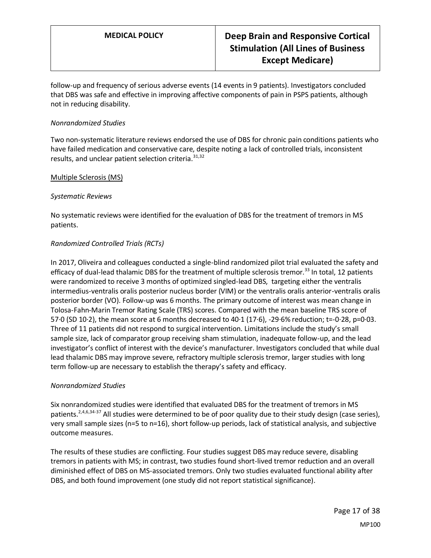follow-up and frequency of serious adverse events (14 events in 9 patients). Investigators concluded that DBS was safe and effective in improving affective components of pain in PSPS patients, although not in reducing disability.

## *Nonrandomized Studies*

Two non-systematic literature reviews endorsed the use of DBS for chronic pain conditions patients who have failed medication and conservative care, despite noting a lack of controlled trials, inconsistent results, and unclear patient selection criteria.<sup>31,32</sup>

### Multiple Sclerosis (MS)

### *Systematic Reviews*

No systematic reviews were identified for the evaluation of DBS for the treatment of tremors in MS patients.

### *Randomized Controlled Trials (RCTs)*

In 2017, Oliveira and colleagues conducted a single-blind randomized pilot trial evaluated the safety and efficacy of dual-lead thalamic DBS for the treatment of multiple sclerosis tremor.<sup>33</sup> In total, 12 patients were randomized to receive 3 months of optimized singled-lead DBS, targeting either the ventralis intermedius-ventralis oralis posterior nucleus border (VIM) or the ventralis oralis anterior-ventralis oralis posterior border (VO). Follow-up was 6 months. The primary outcome of interest was mean change in Tolosa-Fahn-Marin Tremor Rating Scale (TRS) scores. Compared with the mean baseline TRS score of 57·0 (SD 10·2), the mean score at 6 months decreased to 40·1 (17·6), -29·6% reduction; t=-0·28, p=0·03. Three of 11 patients did not respond to surgical intervention. Limitations include the study's small sample size, lack of comparator group receiving sham stimulation, inadequate follow-up, and the lead investigator's conflict of interest with the device's manufacturer. Investigators concluded that while dual lead thalamic DBS may improve severe, refractory multiple sclerosis tremor, larger studies with long term follow-up are necessary to establish the therapy's safety and efficacy.

# *Nonrandomized Studies*

Six nonrandomized studies were identified that evaluated DBS for the treatment of tremors in MS patients.<sup>2,4,6,34-37</sup> All studies were determined to be of poor quality due to their study design (case series), very small sample sizes (n=5 to n=16), short follow-up periods, lack of statistical analysis, and subjective outcome measures.

The results of these studies are conflicting. Four studies suggest DBS may reduce severe, disabling tremors in patients with MS; in contrast, two studies found short-lived tremor reduction and an overall diminished effect of DBS on MS-associated tremors. Only two studies evaluated functional ability after DBS, and both found improvement (one study did not report statistical significance).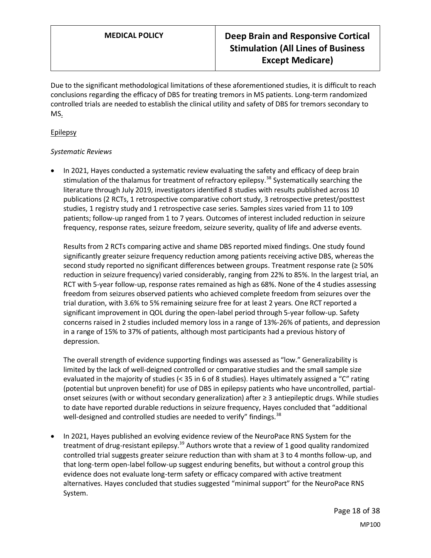Due to the significant methodological limitations of these aforementioned studies, it is difficult to reach conclusions regarding the efficacy of DBS for treating tremors in MS patients. Long-term randomized controlled trials are needed to establish the clinical utility and safety of DBS for tremors secondary to MS.

### Epilepsy

### *Systematic Reviews*

• In 2021, Hayes conducted a systematic review evaluating the safety and efficacy of deep brain stimulation of the thalamus for treatment of refractory epilepsy.<sup>38</sup> Systematically searching the literature through July 2019, investigators identified 8 studies with results published across 10 publications (2 RCTs, 1 retrospective comparative cohort study, 3 retrospective pretest/posttest studies, 1 registry study and 1 retrospective case series. Samples sizes varied from 11 to 109 patients; follow-up ranged from 1 to 7 years. Outcomes of interest included reduction in seizure frequency, response rates, seizure freedom, seizure severity, quality of life and adverse events.

Results from 2 RCTs comparing active and shame DBS reported mixed findings. One study found significantly greater seizure frequency reduction among patients receiving active DBS, whereas the second study reported no significant differences between groups. Treatment response rate (≥ 50% reduction in seizure frequency) varied considerably, ranging from 22% to 85%. In the largest trial, an RCT with 5-year follow-up, response rates remained as high as 68%. None of the 4 studies assessing freedom from seizures observed patients who achieved complete freedom from seizures over the trial duration, with 3.6% to 5% remaining seizure free for at least 2 years. One RCT reported a significant improvement in QOL during the open-label period through 5-year follow-up. Safety concerns raised in 2 studies included memory loss in a range of 13%-26% of patients, and depression in a range of 15% to 37% of patients, although most participants had a previous history of depression.

The overall strength of evidence supporting findings was assessed as "low." Generalizability is limited by the lack of well-deigned controlled or comparative studies and the small sample size evaluated in the majority of studies (< 35 in 6 of 8 studies). Hayes ultimately assigned a "C" rating (potential but unproven benefit) for use of DBS in epilepsy patients who have uncontrolled, partialonset seizures (with or without secondary generalization) after ≥ 3 antiepileptic drugs. While studies to date have reported durable reductions in seizure frequency, Hayes concluded that "additional well-designed and controlled studies are needed to verify" findings.  $38$ 

• In 2021, Hayes published an evolving evidence review of the NeuroPace RNS System for the treatment of drug-resistant epilepsy.<sup>39</sup> Authors wrote that a review of 1 good quality randomized controlled trial suggests greater seizure reduction than with sham at 3 to 4 months follow-up, and that long-term open-label follow-up suggest enduring benefits, but without a control group this evidence does not evaluate long-term safety or efficacy compared with active treatment alternatives. Hayes concluded that studies suggested "minimal support" for the NeuroPace RNS System.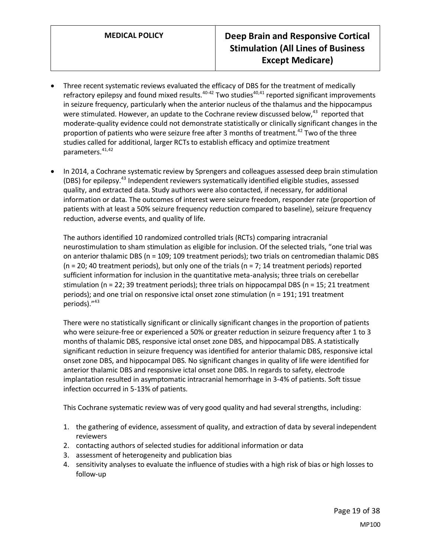- Three recent systematic reviews evaluated the efficacy of DBS for the treatment of medically refractory epilepsy and found mixed results.<sup>40-42</sup> Two studies<sup>40,41</sup> reported significant improvements in seizure frequency, particularly when the anterior nucleus of the thalamus and the hippocampus were stimulated. However, an update to the Cochrane review discussed below,<sup>43</sup> reported that moderate-quality evidence could not demonstrate statistically or clinically significant changes in the proportion of patients who were seizure free after 3 months of treatment.<sup>42</sup> Two of the three studies called for additional, larger RCTs to establish efficacy and optimize treatment parameters.<sup>41,42</sup>
- In 2014, a Cochrane systematic review by Sprengers and colleagues assessed deep brain stimulation (DBS) for epilepsy.<sup>43</sup> Independent reviewers systematically identified eligible studies, assessed quality, and extracted data. Study authors were also contacted, if necessary, for additional information or data. The outcomes of interest were seizure freedom, responder rate (proportion of patients with at least a 50% seizure frequency reduction compared to baseline), seizure frequency reduction, adverse events, and quality of life.

The authors identified 10 randomized controlled trials (RCTs) comparing intracranial neurostimulation to sham stimulation as eligible for inclusion. Of the selected trials, "one trial was on anterior thalamic DBS (n = 109; 109 treatment periods); two trials on centromedian thalamic DBS  $(n = 20; 40$  treatment periods), but only one of the trials  $(n = 7; 14$  treatment periods) reported sufficient information for inclusion in the quantitative meta-analysis; three trials on cerebellar stimulation (n = 22; 39 treatment periods); three trials on hippocampal DBS (n = 15; 21 treatment periods); and one trial on responsive ictal onset zone stimulation (n = 191; 191 treatment periods)."<sup>43</sup>

There were no statistically significant or clinically significant changes in the proportion of patients who were seizure-free or experienced a 50% or greater reduction in seizure frequency after 1 to 3 months of thalamic DBS, responsive ictal onset zone DBS, and hippocampal DBS. A statistically significant reduction in seizure frequency was identified for anterior thalamic DBS, responsive ictal onset zone DBS, and hippocampal DBS. No significant changes in quality of life were identified for anterior thalamic DBS and responsive ictal onset zone DBS. In regards to safety, electrode implantation resulted in asymptomatic intracranial hemorrhage in 3-4% of patients. Soft tissue infection occurred in 5-13% of patients.

This Cochrane systematic review was of very good quality and had several strengths, including:

- 1. the gathering of evidence, assessment of quality, and extraction of data by several independent reviewers
- 2. contacting authors of selected studies for additional information or data
- 3. assessment of heterogeneity and publication bias
- 4. sensitivity analyses to evaluate the influence of studies with a high risk of bias or high losses to follow-up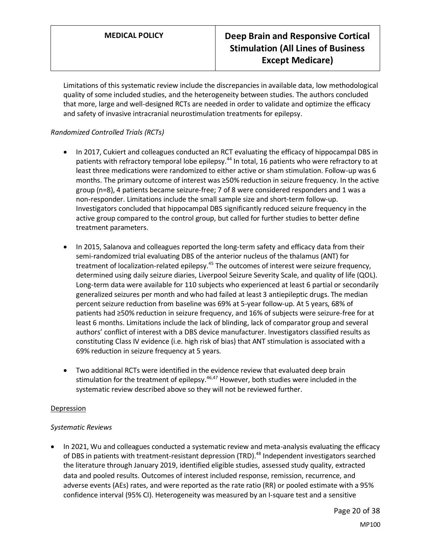Limitations of this systematic review include the discrepancies in available data, low methodological quality of some included studies, and the heterogeneity between studies. The authors concluded that more, large and well-designed RCTs are needed in order to validate and optimize the efficacy and safety of invasive intracranial neurostimulation treatments for epilepsy.

# *Randomized Controlled Trials (RCTs)*

- In 2017, Cukiert and colleagues conducted an RCT evaluating the efficacy of hippocampal DBS in patients with refractory temporal lobe epilepsy.<sup>44</sup> In total, 16 patients who were refractory to at least three medications were randomized to either active or sham stimulation. Follow-up was 6 months. The primary outcome of interest was ≥50% reduction in seizure frequency. In the active group (n=8), 4 patients became seizure-free; 7 of 8 were considered responders and 1 was a non-responder. Limitations include the small sample size and short-term follow-up. Investigators concluded that hippocampal DBS significantly reduced seizure frequency in the active group compared to the control group, but called for further studies to better define treatment parameters.
- In 2015, Salanova and colleagues reported the long-term safety and efficacy data from their semi-randomized trial evaluating DBS of the anterior nucleus of the thalamus (ANT) for treatment of localization-related epilepsy.<sup>45</sup> The outcomes of interest were seizure frequency, determined using daily seizure diaries, Liverpool Seizure Severity Scale, and quality of life (QOL). Long-term data were available for 110 subjects who experienced at least 6 partial or secondarily generalized seizures per month and who had failed at least 3 antiepileptic drugs. The median percent seizure reduction from baseline was 69% at 5-year follow-up. At 5 years, 68% of patients had ≥50% reduction in seizure frequency, and 16% of subjects were seizure-free for at least 6 months. Limitations include the lack of blinding, lack of comparator group and several authors' conflict of interest with a DBS device manufacturer. Investigators classified results as constituting Class IV evidence (i.e. high risk of bias) that ANT stimulation is associated with a 69% reduction in seizure frequency at 5 years.
- Two additional RCTs were identified in the evidence review that evaluated deep brain stimulation for the treatment of epilepsy.<sup>46,47</sup> However, both studies were included in the systematic review described above so they will not be reviewed further.

#### Depression

# *Systematic Reviews*

• In 2021, Wu and colleagues conducted a systematic review and meta-analysis evaluating the efficacy of DBS in patients with treatment-resistant depression (TRD).<sup>48</sup> Independent investigators searched the literature through January 2019, identified eligible studies, assessed study quality, extracted data and pooled results. Outcomes of interest included response, remission, recurrence, and adverse events (AEs) rates, and were reported as the rate ratio (RR) or pooled estimate with a 95% confidence interval (95% CI). Heterogeneity was measured by an I-square test and a sensitive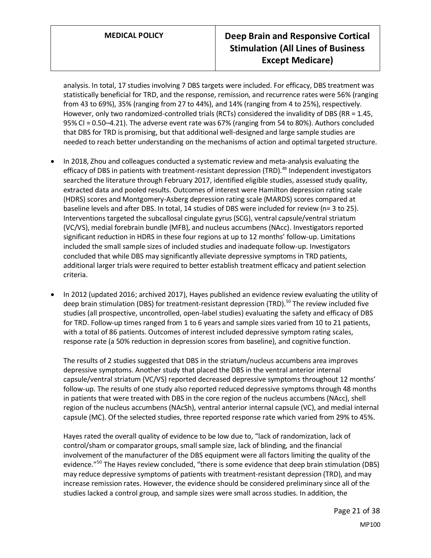analysis. In total, 17 studies involving 7 DBS targets were included. For efficacy, DBS treatment was statistically beneficial for TRD, and the response, remission, and recurrence rates were 56% (ranging from 43 to 69%), 35% (ranging from 27 to 44%), and 14% (ranging from 4 to 25%), respectively. However, only two randomized-controlled trials (RCTs) considered the invalidity of DBS (RR = 1.45, 95% CI = 0.50–4.21). The adverse event rate was 67% (ranging from 54 to 80%). Authors concluded that DBS for TRD is promising, but that additional well-designed and large sample studies are needed to reach better understanding on the mechanisms of action and optimal targeted structure.

- In 2018, Zhou and colleagues conducted a systematic review and meta-analysis evaluating the efficacy of DBS in patients with treatment-resistant depression (TRD).<sup>49</sup> Independent investigators searched the literature through February 2017, identified eligible studies, assessed study quality, extracted data and pooled results. Outcomes of interest were Hamilton depression rating scale (HDRS) scores and Montgomery-Asberg depression rating scale (MARDS) scores compared at baseline levels and after DBS. In total, 14 studies of DBS were included for review (n= 3 to 25). Interventions targeted the subcallosal cingulate gyrus (SCG), ventral capsule/ventral striatum (VC/VS), medial forebrain bundle (MFB), and nucleus accumbens (NAcc). Investigators reported significant reduction in HDRS in these four regions at up to 12 months' follow-up. Limitations included the small sample sizes of included studies and inadequate follow-up. Investigators concluded that while DBS may significantly alleviate depressive symptoms in TRD patients, additional larger trials were required to better establish treatment efficacy and patient selection criteria.
- In 2012 (updated 2016; archived 2017), Hayes published an evidence review evaluating the utility of deep brain stimulation (DBS) for treatment-resistant depression (TRD).<sup>50</sup> The review included five studies (all prospective, uncontrolled, open-label studies) evaluating the safety and efficacy of DBS for TRD. Follow-up times ranged from 1 to 6 years and sample sizes varied from 10 to 21 patients, with a total of 86 patients. Outcomes of interest included depressive symptom rating scales, response rate (a 50% reduction in depression scores from baseline), and cognitive function.

The results of 2 studies suggested that DBS in the striatum/nucleus accumbens area improves depressive symptoms. Another study that placed the DBS in the ventral anterior internal capsule/ventral striatum (VC/VS) reported decreased depressive symptoms throughout 12 months' follow-up. The results of one study also reported reduced depressive symptoms through 48 months in patients that were treated with DBS in the core region of the nucleus accumbens (NAcc), shell region of the nucleus accumbens (NAcSh), ventral anterior internal capsule (VC), and medial internal capsule (MC). Of the selected studies, three reported response rate which varied from 29% to 45%.

Hayes rated the overall quality of evidence to be low due to, "lack of randomization, lack of control/sham or comparator groups, small sample size, lack of blinding, and the financial involvement of the manufacturer of the DBS equipment were all factors limiting the quality of the evidence."<sup>50</sup> The Hayes review concluded, "there is some evidence that deep brain stimulation (DBS) may reduce depressive symptoms of patients with treatment-resistant depression (TRD), and may increase remission rates. However, the evidence should be considered preliminary since all of the studies lacked a control group, and sample sizes were small across studies. In addition, the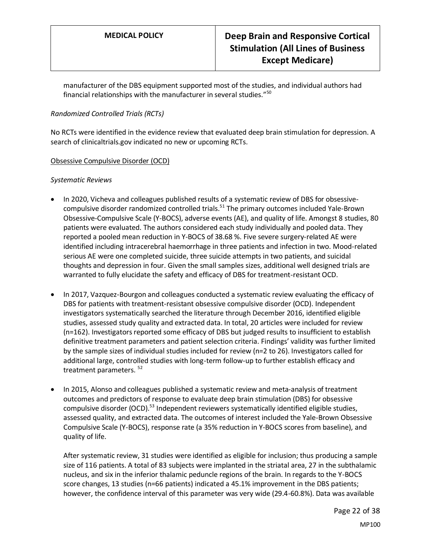manufacturer of the DBS equipment supported most of the studies, and individual authors had financial relationships with the manufacturer in several studies." $50$ 

# *Randomized Controlled Trials (RCTs)*

No RCTs were identified in the evidence review that evaluated deep brain stimulation for depression. A search of clinicaltrials.gov indicated no new or upcoming RCTs.

# Obsessive Compulsive Disorder (OCD)

#### *Systematic Reviews*

- In 2020, Vicheva and colleagues published results of a systematic review of DBS for obsessivecompulsive disorder randomized controlled trials.<sup>51</sup> The primary outcomes included Yale-Brown Obsessive-Compulsive Scale (Y-BOCS), adverse events (AE), and quality of life. Amongst 8 studies, 80 patients were evaluated. The authors considered each study individually and pooled data. They reported a pooled mean reduction in Y-BOCS of 38.68 %. Five severe surgery-related AE were identified including intracerebral haemorrhage in three patients and infection in two. Mood-related serious AE were one completed suicide, three suicide attempts in two patients, and suicidal thoughts and depression in four. Given the small samples sizes, additional well designed trials are warranted to fully elucidate the safety and efficacy of DBS for treatment-resistant OCD.
- In 2017, Vazquez-Bourgon and colleagues conducted a systematic review evaluating the efficacy of DBS for patients with treatment-resistant obsessive compulsive disorder (OCD). Independent investigators systematically searched the literature through December 2016, identified eligible studies, assessed study quality and extracted data. In total, 20 articles were included for review (n=162). Investigators reported some efficacy of DBS but judged results to insufficient to establish definitive treatment parameters and patient selection criteria. Findings' validity was further limited by the sample sizes of individual studies included for review (n=2 to 26). Investigators called for additional large, controlled studies with long-term follow-up to further establish efficacy and treatment parameters.<sup>52</sup>
- In 2015, Alonso and colleagues published a systematic review and meta-analysis of treatment outcomes and predictors of response to evaluate deep brain stimulation (DBS) for obsessive compulsive disorder (OCD).<sup>53</sup> Independent reviewers systematically identified eligible studies, assessed quality, and extracted data. The outcomes of interest included the Yale-Brown Obsessive Compulsive Scale (Y-BOCS), response rate (a 35% reduction in Y-BOCS scores from baseline), and quality of life.

After systematic review, 31 studies were identified as eligible for inclusion; thus producing a sample size of 116 patients. A total of 83 subjects were implanted in the striatal area, 27 in the subthalamic nucleus, and six in the inferior thalamic peduncle regions of the brain. In regards to the Y-BOCS score changes, 13 studies (n=66 patients) indicated a 45.1% improvement in the DBS patients; however, the confidence interval of this parameter was very wide (29.4-60.8%). Data was available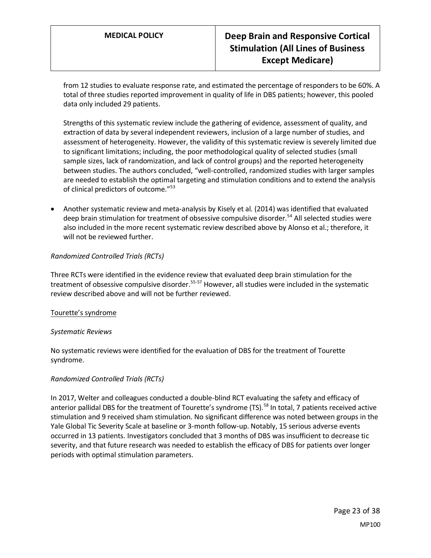from 12 studies to evaluate response rate, and estimated the percentage of responders to be 60%. A total of three studies reported improvement in quality of life in DBS patients; however, this pooled data only included 29 patients.

Strengths of this systematic review include the gathering of evidence, assessment of quality, and extraction of data by several independent reviewers, inclusion of a large number of studies, and assessment of heterogeneity. However, the validity of this systematic review is severely limited due to significant limitations; including, the poor methodological quality of selected studies (small sample sizes, lack of randomization, and lack of control groups) and the reported heterogeneity between studies. The authors concluded, "well-controlled, randomized studies with larger samples are needed to establish the optimal targeting and stimulation conditions and to extend the analysis of clinical predictors of outcome."<sup>53</sup>

• Another systematic review and meta-analysis by Kisely et al. (2014) was identified that evaluated deep brain stimulation for treatment of obsessive compulsive disorder.<sup>54</sup> All selected studies were also included in the more recent systematic review described above by Alonso et al.; therefore, it will not be reviewed further.

# *Randomized Controlled Trials (RCTs)*

Three RCTs were identified in the evidence review that evaluated deep brain stimulation for the treatment of obsessive compulsive disorder.<sup>55-57</sup> However, all studies were included in the systematic review described above and will not be further reviewed.

#### Tourette's syndrome

#### *Systematic Reviews*

No systematic reviews were identified for the evaluation of DBS for the treatment of Tourette syndrome.

# *Randomized Controlled Trials (RCTs)*

In 2017, Welter and colleagues conducted a double-blind RCT evaluating the safety and efficacy of anterior pallidal DBS for the treatment of Tourette's syndrome (TS).<sup>58</sup> In total, 7 patients received active stimulation and 9 received sham stimulation. No significant difference was noted between groups in the Yale Global Tic Severity Scale at baseline or 3-month follow-up. Notably, 15 serious adverse events occurred in 13 patients. Investigators concluded that 3 months of DBS was insufficient to decrease tic severity, and that future research was needed to establish the efficacy of DBS for patients over longer periods with optimal stimulation parameters.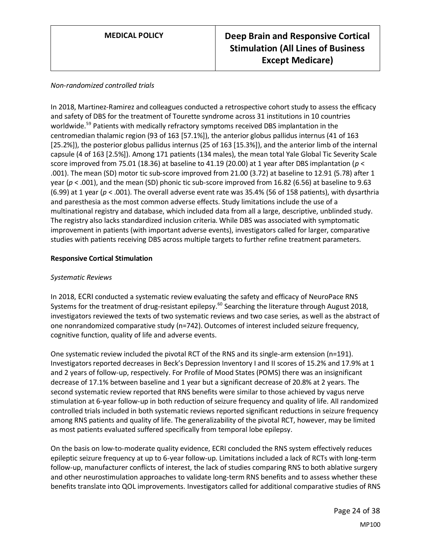# *Non-randomized controlled trials*

In 2018, Martinez-Ramirez and colleagues conducted a retrospective cohort study to assess the efficacy and safety of DBS for the treatment of Tourette syndrome across 31 institutions in 10 countries worldwide.<sup>59</sup> Patients with medically refractory symptoms received DBS implantation in the centromedian thalamic region (93 of 163 [57.1%]), the anterior globus pallidus internus (41 of 163 [25.2%]), the posterior globus pallidus internus (25 of 163 [15.3%]), and the anterior limb of the internal capsule (4 of 163 [2.5%]). Among 171 patients (134 males), the mean total Yale Global Tic Severity Scale score improved from 75.01 (18.36) at baseline to 41.19 (20.00) at 1 year after DBS implantation (*p* < .001). The mean (SD) motor tic sub-score improved from 21.00 (3.72) at baseline to 12.91 (5.78) after 1 year (*p* < .001), and the mean (SD) phonic tic sub-score improved from 16.82 (6.56) at baseline to 9.63 (6.99) at 1 year (*p* < .001). The overall adverse event rate was 35.4% (56 of 158 patients), with dysarthria and paresthesia as the most common adverse effects. Study limitations include the use of a multinational registry and database, which included data from all a large, descriptive, unblinded study. The registry also lacks standardized inclusion criteria. While DBS was associated with symptomatic improvement in patients (with important adverse events), investigators called for larger, comparative studies with patients receiving DBS across multiple targets to further refine treatment parameters.

### **Responsive Cortical Stimulation**

### *Systematic Reviews*

In 2018, ECRI conducted a systematic review evaluating the safety and efficacy of NeuroPace RNS Systems for the treatment of drug-resistant epilepsy.<sup>60</sup> Searching the literature through August 2018, investigators reviewed the texts of two systematic reviews and two case series, as well as the abstract of one nonrandomized comparative study (n=742). Outcomes of interest included seizure frequency, cognitive function, quality of life and adverse events.

One systematic review included the pivotal RCT of the RNS and its single-arm extension (n=191). Investigators reported decreases in Beck's Depression Inventory I and II scores of 15.2% and 17.9% at 1 and 2 years of follow-up, respectively. For Profile of Mood States (POMS) there was an insignificant decrease of 17.1% between baseline and 1 year but a significant decrease of 20.8% at 2 years. The second systematic review reported that RNS benefits were similar to those achieved by vagus nerve stimulation at 6-year follow-up in both reduction of seizure frequency and quality of life. All randomized controlled trials included in both systematic reviews reported significant reductions in seizure frequency among RNS patients and quality of life. The generalizability of the pivotal RCT, however, may be limited as most patients evaluated suffered specifically from temporal lobe epilepsy.

On the basis on low-to-moderate quality evidence, ECRI concluded the RNS system effectively reduces epileptic seizure frequency at up to 6-year follow-up. Limitations included a lack of RCTs with long-term follow-up, manufacturer conflicts of interest, the lack of studies comparing RNS to both ablative surgery and other neurostimulation approaches to validate long-term RNS benefits and to assess whether these benefits translate into QOL improvements. Investigators called for additional comparative studies of RNS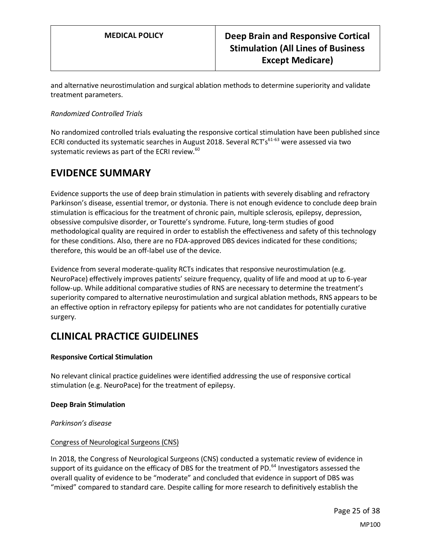and alternative neurostimulation and surgical ablation methods to determine superiority and validate treatment parameters.

# *Randomized Controlled Trials*

No randomized controlled trials evaluating the responsive cortical stimulation have been published since ECRI conducted its systematic searches in August 2018. Several RCT's $^{61-63}$  were assessed via two systematic reviews as part of the ECRI review.<sup>60</sup>

# <span id="page-24-0"></span>**EVIDENCE SUMMARY**

Evidence supports the use of deep brain stimulation in patients with severely disabling and refractory Parkinson's disease, essential tremor, or dystonia. There is not enough evidence to conclude deep brain stimulation is efficacious for the treatment of chronic pain, multiple sclerosis, epilepsy, depression, obsessive compulsive disorder, or Tourette's syndrome. Future, long-term studies of good methodological quality are required in order to establish the effectiveness and safety of this technology for these conditions. Also, there are no FDA-approved DBS devices indicated for these conditions; therefore, this would be an off-label use of the device.

Evidence from several moderate-quality RCTs indicates that responsive neurostimulation (e.g. NeuroPace) effectively improves patients' seizure frequency, quality of life and mood at up to 6-year follow-up. While additional comparative studies of RNS are necessary to determine the treatment's superiority compared to alternative neurostimulation and surgical ablation methods, RNS appears to be an effective option in refractory epilepsy for patients who are not candidates for potentially curative surgery.

# **CLINICAL PRACTICE GUIDELINES**

# **Responsive Cortical Stimulation**

No relevant clinical practice guidelines were identified addressing the use of responsive cortical stimulation (e.g. NeuroPace) for the treatment of epilepsy.

# **Deep Brain Stimulation**

*Parkinson's disease*

# Congress of Neurological Surgeons (CNS)

In 2018, the Congress of Neurological Surgeons (CNS) conducted a systematic review of evidence in support of its guidance on the efficacy of DBS for the treatment of PD.<sup>64</sup> Investigators assessed the overall quality of evidence to be "moderate" and concluded that evidence in support of DBS was "mixed" compared to standard care. Despite calling for more research to definitively establish the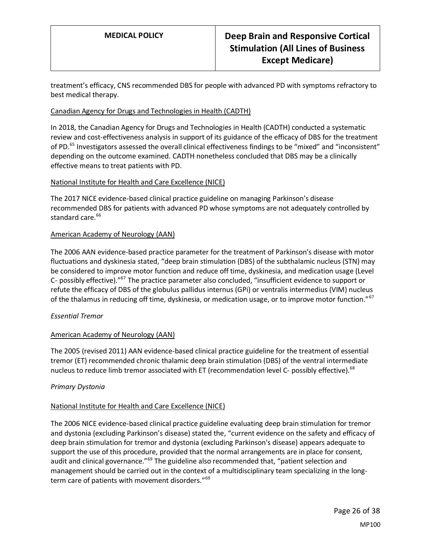treatment's efficacy, CNS recommended DBS for people with advanced PD with symptoms refractory to best medical therapy.

## Canadian Agency for Drugs and Technologies in Health (CADTH)

In 2018, the Canadian Agency for Drugs and Technologies in Health (CADTH) conducted a systematic review and cost-effectiveness analysis in support of its guidance of the efficacy of DBS for the treatment of PD.<sup>65</sup> Investigators assessed the overall clinical effectiveness findings to be "mixed" and "inconsistent" depending on the outcome examined. CADTH nonetheless concluded that DBS may be a clinically effective means to treat patients with PD.

### National Institute for Health and Care Excellence (NICE)

The 2017 NICE evidence-based clinical practice guideline on managing Parkinson's disease recommended DBS for patients with advanced PD whose symptoms are not adequately controlled by standard care.<sup>66</sup>

#### American Academy of Neurology (AAN)

The 2006 AAN evidence-based practice parameter for the treatment of Parkinson's disease with motor fluctuations and dyskinesia stated, "deep brain stimulation (DBS) of the subthalamic nucleus (STN) may be considered to improve motor function and reduce off time, dyskinesia, and medication usage (Level C- possibly effective). $^{167}$  The practice parameter also concluded, "insufficient evidence to support or refute the efficacy of DBS of the globulus pallidus internus (GPi) or ventralis intermedius (VIM) nucleus of the thalamus in reducing off time, dyskinesia, or medication usage, or to improve motor function."<sup>67</sup>

# *Essential Tremor*

# American Academy of Neurology (AAN)

The 2005 (revised 2011) AAN evidence-based clinical practice guideline for the treatment of essential tremor (ET) recommended chronic thalamic deep brain stimulation (DBS) of the ventral intermediate nucleus to reduce limb tremor associated with ET (recommendation level C- possibly effective).<sup>68</sup>

#### *Primary Dystonia*

#### National Institute for Health and Care Excellence (NICE)

The 2006 NICE evidence-based clinical practice guideline evaluating deep brain stimulation for tremor and dystonia (excluding Parkinson's disease) stated the, "current evidence on the safety and efficacy of deep brain stimulation for tremor and dystonia (excluding Parkinson's disease) appears adequate to support the use of this procedure, provided that the normal arrangements are in place for consent, audit and clinical governance."<sup>69</sup> The guideline also recommended that, "patient selection and management should be carried out in the context of a multidisciplinary team specializing in the longterm care of patients with movement disorders."<sup>69</sup>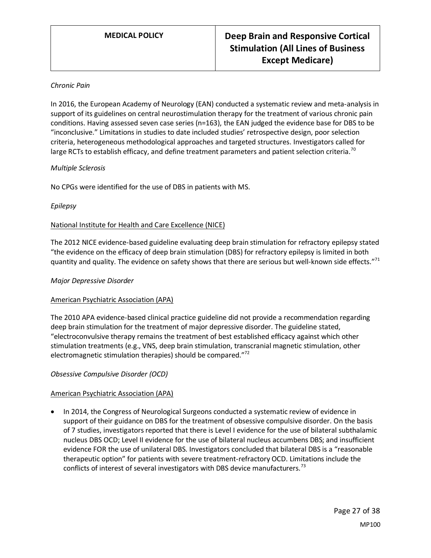### *Chronic Pain*

In 2016, the European Academy of Neurology (EAN) conducted a systematic review and meta-analysis in support of its guidelines on central neurostimulation therapy for the treatment of various chronic pain conditions. Having assessed seven case series (n=163), the EAN judged the evidence base for DBS to be "inconclusive." Limitations in studies to date included studies' retrospective design, poor selection criteria, heterogeneous methodological approaches and targeted structures. Investigators called for large RCTs to establish efficacy, and define treatment parameters and patient selection criteria.<sup>70</sup>

#### *Multiple Sclerosis*

No CPGs were identified for the use of DBS in patients with MS.

#### *Epilepsy*

### National Institute for Health and Care Excellence (NICE)

The 2012 NICE evidence-based guideline evaluating deep brain stimulation for refractory epilepsy stated "the evidence on the efficacy of deep brain stimulation (DBS) for refractory epilepsy is limited in both quantity and quality. The evidence on safety shows that there are serious but well-known side effects."<sup>71</sup>

#### *Major Depressive Disorder*

#### American Psychiatric Association (APA)

The 2010 APA evidence-based clinical practice guideline did not provide a recommendation regarding deep brain stimulation for the treatment of major depressive disorder. The guideline stated, "electroconvulsive therapy remains the treatment of best established efficacy against which other stimulation treatments (e.g., VNS, deep brain stimulation, transcranial magnetic stimulation, other electromagnetic stimulation therapies) should be compared."<sup>72</sup>

#### *Obsessive Compulsive Disorder (OCD)*

# American Psychiatric Association (APA)

• In 2014, the Congress of Neurological Surgeons conducted a systematic review of evidence in support of their guidance on DBS for the treatment of obsessive compulsive disorder. On the basis of 7 studies, investigators reported that there is Level I evidence for the use of bilateral subthalamic nucleus DBS OCD; Level II evidence for the use of bilateral nucleus accumbens DBS; and insufficient evidence FOR the use of unilateral DBS. Investigators concluded that bilateral DBS is a "reasonable therapeutic option" for patients with severe treatment-refractory OCD. Limitations include the conflicts of interest of several investigators with DBS device manufacturers.<sup>73</sup>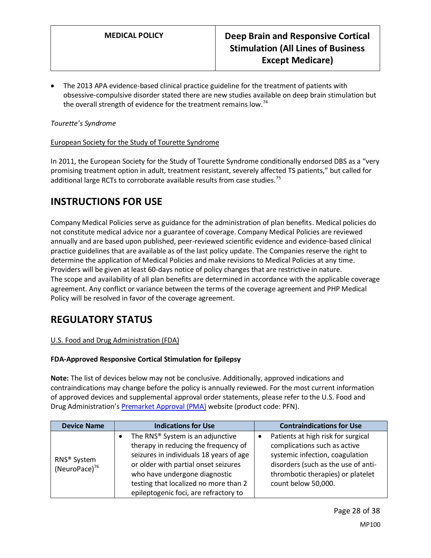• The 2013 APA evidence-based clinical practice guideline for the treatment of patients with obsessive-compulsive disorder stated there are new studies available on deep brain stimulation but the overall strength of evidence for the treatment remains low.<sup>74</sup>

# *Tourette's Syndrome*

### European Society for the Study of Tourette Syndrome

In 2011, the European Society for the Study of Tourette Syndrome conditionally endorsed DBS as a "very promising treatment option in adult, treatment resistant, severely affected TS patients," but called for additional large RCTs to corroborate available results from case studies.<sup>75</sup>

# **INSTRUCTIONS FOR USE**

Company Medical Policies serve as guidance for the administration of plan benefits. Medical policies do not constitute medical advice nor a guarantee of coverage. Company Medical Policies are reviewed annually and are based upon published, peer-reviewed scientific evidence and evidence-based clinical practice guidelines that are available as of the last policy update. The Companies reserve the right to determine the application of Medical Policies and make revisions to Medical Policies at any time. Providers will be given at least 60-days notice of policy changes that are restrictive in nature. The scope and availability of all plan benefits are determined in accordance with the applicable coverage agreement. Any conflict or variance between the terms of the coverage agreement and PHP Medical Policy will be resolved in favor of the coverage agreement.

# **REGULATORY STATUS**

# U.S. Food and Drug Administration (FDA)

# **FDA-Approved Responsive Cortical Stimulation for Epilepsy**

**Note:** The list of devices below may not be conclusive. Additionally, approved indications and contraindications may change before the policy is annually reviewed. For the most current information of approved devices and supplemental approval order statements, please refer to the U.S. Food and Drug Administration's Premarket [Approval \(PMA\)](https://www.accessdata.fda.gov/scripts/cdrh/cfdocs/cfPMA/pma.cfm) website (product code: PFN).

| <b>Device Name</b>                          | <b>Indications for Use</b>                                                                                                                                                                                                                                                                 | <b>Contraindications for Use</b>                                                                                                                                                                         |  |  |
|---------------------------------------------|--------------------------------------------------------------------------------------------------------------------------------------------------------------------------------------------------------------------------------------------------------------------------------------------|----------------------------------------------------------------------------------------------------------------------------------------------------------------------------------------------------------|--|--|
| RNS <sup>®</sup> System<br>(NeuroPace) $76$ | The RNS <sup>®</sup> System is an adjunctive<br>therapy in reducing the frequency of<br>seizures in individuals 18 years of age<br>or older with partial onset seizures<br>who have undergone diagnostic<br>testing that localized no more than 2<br>epileptogenic foci, are refractory to | Patients at high risk for surgical<br>complications such as active<br>systemic infection, coagulation<br>disorders (such as the use of anti-<br>thrombotic therapies) or platelet<br>count below 50,000. |  |  |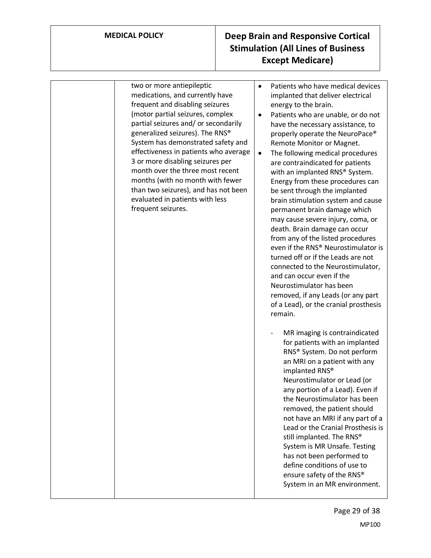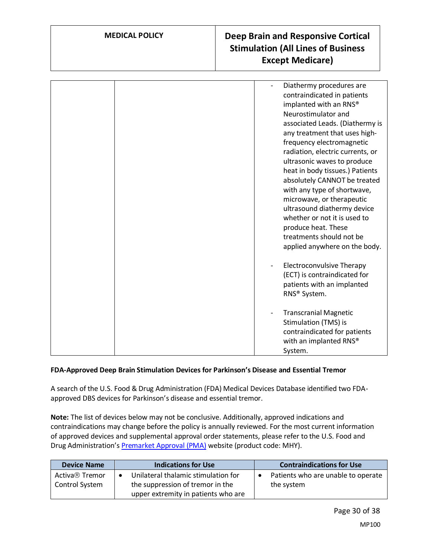|  | Diathermy procedures are<br>contraindicated in patients<br>implanted with an RNS®<br>Neurostimulator and<br>associated Leads. (Diathermy is<br>any treatment that uses high-<br>frequency electromagnetic<br>radiation, electric currents, or<br>ultrasonic waves to produce<br>heat in body tissues.) Patients<br>absolutely CANNOT be treated<br>with any type of shortwave,<br>microwave, or therapeutic<br>ultrasound diathermy device<br>whether or not it is used to<br>produce heat. These<br>treatments should not be<br>applied anywhere on the body. |
|--|----------------------------------------------------------------------------------------------------------------------------------------------------------------------------------------------------------------------------------------------------------------------------------------------------------------------------------------------------------------------------------------------------------------------------------------------------------------------------------------------------------------------------------------------------------------|
|  | Electroconvulsive Therapy<br>(ECT) is contraindicated for<br>patients with an implanted<br>RNS® System.                                                                                                                                                                                                                                                                                                                                                                                                                                                        |
|  | <b>Transcranial Magnetic</b><br>Stimulation (TMS) is<br>contraindicated for patients<br>with an implanted RNS®<br>System.                                                                                                                                                                                                                                                                                                                                                                                                                                      |

# **FDA-Approved Deep Brain Stimulation Devices for Parkinson's Disease and Essential Tremor**

A search of the U.S. Food & Drug Administration (FDA) Medical Devices Database identified two FDAapproved DBS devices for Parkinson's disease and essential tremor.

**Note:** The list of devices below may not be conclusive. Additionally, approved indications and contraindications may change before the policy is annually reviewed. For the most current information of approved devices and supplemental approval order statements, please refer to the U.S. Food and Drug Administration's Premarket [Approval \(PMA\)](https://www.accessdata.fda.gov/scripts/cdrh/cfdocs/cfPMA/pma.cfm) website (product code: MHY).

| <b>Device Name</b>                           | <b>Indications for Use</b>                                                                                     | <b>Contraindications for Use</b>                              |
|----------------------------------------------|----------------------------------------------------------------------------------------------------------------|---------------------------------------------------------------|
| Activa <sup>®</sup> Tremor<br>Control System | Unilateral thalamic stimulation for<br>the suppression of tremor in the<br>upper extremity in patients who are | Patients who are unable to operate<br>$\bullet$<br>the system |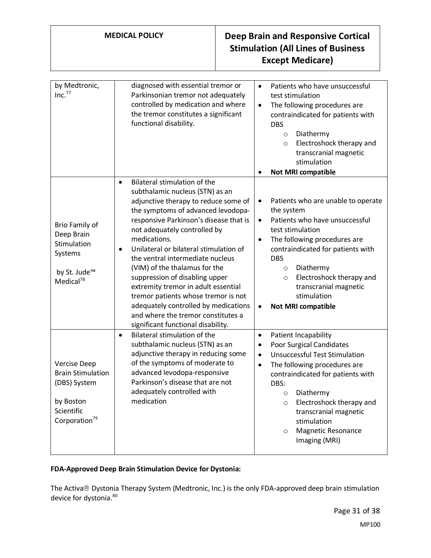| by Medtronic,<br>Inc. <sup>77</sup>                                                                                     | diagnosed with essential tremor or<br>Patients who have unsuccessful<br>$\bullet$<br>Parkinsonian tremor not adequately<br>test stimulation<br>controlled by medication and where<br>The following procedures are<br>$\bullet$<br>the tremor constitutes a significant<br>contraindicated for patients with<br>functional disability.<br><b>DBS</b><br>Diathermy<br>$\circ$<br>Electroshock therapy and<br>$\circ$<br>transcranial magnetic<br>stimulation<br><b>Not MRI compatible</b><br>$\bullet$                                                                                                                                                                                                                                                                                                                                                                                                                                                                                                      |
|-------------------------------------------------------------------------------------------------------------------------|-----------------------------------------------------------------------------------------------------------------------------------------------------------------------------------------------------------------------------------------------------------------------------------------------------------------------------------------------------------------------------------------------------------------------------------------------------------------------------------------------------------------------------------------------------------------------------------------------------------------------------------------------------------------------------------------------------------------------------------------------------------------------------------------------------------------------------------------------------------------------------------------------------------------------------------------------------------------------------------------------------------|
| Brio Family of<br>Deep Brain<br>Stimulation<br>Systems<br>by St. Jude™<br>Medical $^{78}$                               | Bilateral stimulation of the<br>$\bullet$<br>subthalamic nucleus (STN) as an<br>adjunctive therapy to reduce some of<br>Patients who are unable to operate<br>$\bullet$<br>the symptoms of advanced levodopa-<br>the system<br>responsive Parkinson's disease that is<br>Patients who have unsuccessful<br>$\bullet$<br>not adequately controlled by<br>test stimulation<br>medications.<br>The following procedures are<br>$\bullet$<br>Unilateral or bilateral stimulation of<br>contraindicated for patients with<br>$\bullet$<br>the ventral intermediate nucleus<br><b>DBS</b><br>(VIM) of the thalamus for the<br>Diathermy<br>$\circ$<br>suppression of disabling upper<br>Electroshock therapy and<br>$\circ$<br>extremity tremor in adult essential<br>transcranial magnetic<br>tremor patients whose tremor is not<br>stimulation<br>adequately controlled by medications<br><b>Not MRI compatible</b><br>$\bullet$<br>and where the tremor constitutes a<br>significant functional disability. |
| <b>Vercise Deep</b><br><b>Brain Stimulation</b><br>(DBS) System<br>by Boston<br>Scientific<br>Corporation <sup>79</sup> | Bilateral stimulation of the<br>Patient Incapability<br>$\bullet$<br>$\bullet$<br>subthalamic nucleus (STN) as an<br>Poor Surgical Candidates<br>$\bullet$<br>adjunctive therapy in reducing some<br><b>Unsuccessful Test Stimulation</b><br>$\bullet$<br>of the symptoms of moderate to<br>The following procedures are<br>$\bullet$<br>advanced levodopa-responsive<br>contraindicated for patients with<br>Parkinson's disease that are not<br>DBS:<br>adequately controlled with<br>o Diathermy<br>medication<br>Electroshock therapy and<br>$\circ$<br>transcranial magnetic<br>stimulation<br><b>Magnetic Resonance</b><br>$\circ$<br>Imaging (MRI)                                                                                                                                                                                                                                                                                                                                                 |

# **FDA-Approved Deep Brain Stimulation Device for Dystonia:**

The Activa® Dystonia Therapy System (Medtronic, Inc.) is the only FDA-approved deep brain stimulation device for dystonia.<sup>80</sup>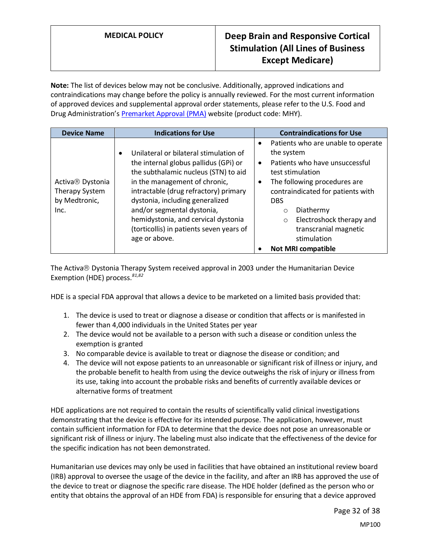**Note:** The list of devices below may not be conclusive. Additionally, approved indications and contraindications may change before the policy is annually reviewed. For the most current information of approved devices and supplemental approval order statements, please refer to the U.S. Food and Drug Administration's Premarket [Approval \(PMA\)](https://www.accessdata.fda.gov/scripts/cdrh/cfdocs/cfPMA/pma.cfm) website (product code: MHY).

| <b>Device Name</b>                                                      | <b>Indications for Use</b>                                                                                                                                                                                                                                                                                                                                                          |                                     | <b>Contraindications for Use</b>                                                                                                                                                                                                                                                                                        |
|-------------------------------------------------------------------------|-------------------------------------------------------------------------------------------------------------------------------------------------------------------------------------------------------------------------------------------------------------------------------------------------------------------------------------------------------------------------------------|-------------------------------------|-------------------------------------------------------------------------------------------------------------------------------------------------------------------------------------------------------------------------------------------------------------------------------------------------------------------------|
| Activa <sup>®</sup> Dystonia<br>Therapy System<br>by Medtronic,<br>Inc. | Unilateral or bilateral stimulation of<br>$\bullet$<br>the internal globus pallidus (GPi) or<br>the subthalamic nucleus (STN) to aid<br>in the management of chronic,<br>intractable (drug refractory) primary<br>dystonia, including generalized<br>and/or segmental dystonia,<br>hemidystonia, and cervical dystonia<br>(torticollis) in patients seven years of<br>age or above. | $\bullet$<br>$\bullet$<br>$\bullet$ | Patients who are unable to operate<br>the system<br>Patients who have unsuccessful<br>test stimulation<br>The following procedures are<br>contraindicated for patients with<br><b>DBS</b><br>Diathermy<br>Ω<br>Electroshock therapy and<br>$\circ$<br>transcranial magnetic<br>stimulation<br><b>Not MRI compatible</b> |

The Activa<sup>®</sup> Dystonia Therapy System received approval in 2003 under the Humanitarian Device Exemption (HDE) process.*81,82*

HDE is a special FDA approval that allows a device to be marketed on a limited basis provided that:

- 1. The device is used to treat or diagnose a disease or condition that affects or is manifested in fewer than 4,000 individuals in the United States per year
- 2. The device would not be available to a person with such a disease or condition unless the exemption is granted
- 3. No comparable device is available to treat or diagnose the disease or condition; and
- 4. The device will not expose patients to an unreasonable or significant risk of illness or injury, and the probable benefit to health from using the device outweighs the risk of injury or illness from its use, taking into account the probable risks and benefits of currently available devices or alternative forms of treatment

HDE applications are not required to contain the results of scientifically valid clinical investigations demonstrating that the device is effective for its intended purpose. The application, however, must contain sufficient information for FDA to determine that the device does not pose an unreasonable or significant risk of illness or injury. The labeling must also indicate that the effectiveness of the device for the specific indication has not been demonstrated.

Humanitarian use devices may only be used in facilities that have obtained an institutional review board (IRB) approval to oversee the usage of the device in the facility, and after an IRB has approved the use of the device to treat or diagnose the specific rare disease. The HDE holder (defined as the person who or entity that obtains the approval of an HDE from FDA) is responsible for ensuring that a device approved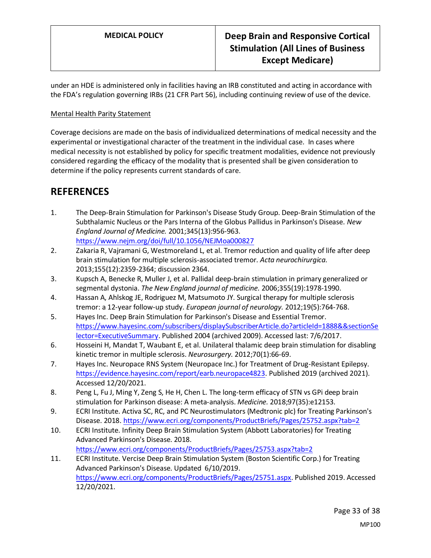under an HDE is administered only in facilities having an IRB constituted and acting in accordance with the FDA's regulation governing IRBs (21 CFR Part 56), including continuing review of use of the device.

# Mental Health Parity Statement

Coverage decisions are made on the basis of individualized determinations of medical necessity and the experimental or investigational character of the treatment in the individual case. In cases where medical necessity is not established by policy for specific treatment modalities, evidence not previously considered regarding the efficacy of the modality that is presented shall be given consideration to determine if the policy represents current standards of care.

# **REFERENCES**

- 1. The Deep-Brain Stimulation for Parkinson's Disease Study Group. Deep-Brain Stimulation of the Subthalamic Nucleus or the Pars Interna of the Globus Pallidus in Parkinson's Disease. *New England Journal of Medicine.* 2001;345(13):956-963. <https://www.nejm.org/doi/full/10.1056/NEJMoa000827>
- 2. Zakaria R, Vajramani G, Westmoreland L, et al. Tremor reduction and quality of life after deep brain stimulation for multiple sclerosis-associated tremor. *Acta neurochirurgica.*  2013;155(12):2359-2364; discussion 2364.
- 3. Kupsch A, Benecke R, Muller J, et al. Pallidal deep-brain stimulation in primary generalized or segmental dystonia. *The New England journal of medicine.* 2006;355(19):1978-1990.
- 4. Hassan A, Ahlskog JE, Rodriguez M, Matsumoto JY. Surgical therapy for multiple sclerosis tremor: a 12-year follow-up study. *European journal of neurology.* 2012;19(5):764-768.
- 5. Hayes Inc. Deep Brain Stimulation for Parkinson's Disease and Essential Tremor. [https://www.hayesinc.com/subscribers/displaySubscriberArticle.do?articleId=1888&&sectionSe](https://www.hayesinc.com/subscribers/displaySubscriberArticle.do?articleId=1888&§ionSelector=ExecutiveSummary) [lector=ExecutiveSummary.](https://www.hayesinc.com/subscribers/displaySubscriberArticle.do?articleId=1888&§ionSelector=ExecutiveSummary) Published 2004 (archived 2009). Accessed last: 7/6/2017.
- 6. Hosseini H, Mandat T, Waubant E, et al. Unilateral thalamic deep brain stimulation for disabling kinetic tremor in multiple sclerosis. *Neurosurgery.* 2012;70(1):66-69.
- 7. Hayes Inc. Neuropace RNS System (Neuropace Inc.) for Treatment of Drug-Resistant Epilepsy. [https://evidence.hayesinc.com/report/earb.neuropace4823.](https://evidence.hayesinc.com/report/earb.neuropace4823) Published 2019 (archived 2021). Accessed 12/20/2021.
- 8. Peng L, Fu J, Ming Y, Zeng S, He H, Chen L. The long-term efficacy of STN vs GPi deep brain stimulation for Parkinson disease: A meta-analysis. *Medicine.* 2018;97(35):e12153.
- 9. ECRI Institute. Activa SC, RC, and PC Neurostimulators (Medtronic plc) for Treating Parkinson's Disease. 2018.<https://www.ecri.org/components/ProductBriefs/Pages/25752.aspx?tab=2>
- 10. ECRI Institute. Infinity Deep Brain Stimulation System (Abbott Laboratories) for Treating Advanced Parkinson's Disease. 2018. <https://www.ecri.org/components/ProductBriefs/Pages/25753.aspx?tab=2>

11. ECRI Institute. Vercise Deep Brain Stimulation System (Boston Scientific Corp.) for Treating Advanced Parkinson's Disease. Updated 6/10/2019. [https://www.ecri.org/components/ProductBriefs/Pages/25751.aspx.](https://www.ecri.org/components/ProductBriefs/Pages/25751.aspx) Published 2019. Accessed 12/20/2021.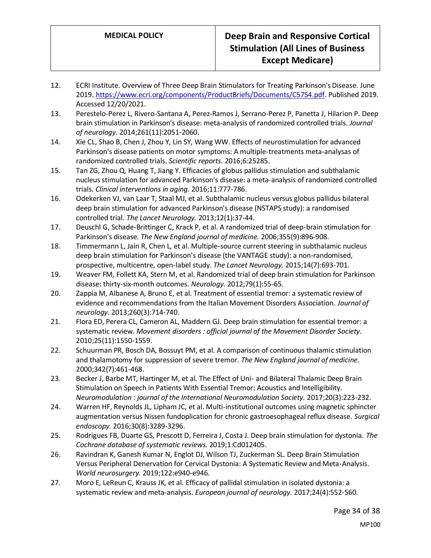- 12. ECRI Institute. Overview of Three Deep Brain Stimulators for Treating Parkinson's Disease. June 2019[. https://www.ecri.org/components/ProductBriefs/Documents/C5754.pdf.](https://www.ecri.org/components/ProductBriefs/Documents/C5754.pdf) Published 2019. Accessed 12/20/2021.
- 13. Perestelo-Perez L, Rivero-Santana A, Perez-Ramos J, Serrano-Perez P, Panetta J, Hilarion P. Deep brain stimulation in Parkinson's disease: meta-analysis of randomized controlled trials. *Journal of neurology.* 2014;261(11):2051-2060.
- 14. Xie CL, Shao B, Chen J, Zhou Y, Lin SY, Wang WW. Effects of neurostimulation for advanced Parkinson's disease patients on motor symptoms: A multiple-treatments meta-analysas of randomized controlled trials. *Scientific reports.* 2016;6:25285.
- 15. Tan ZG, Zhou Q, Huang T, Jiang Y. Efficacies of globus pallidus stimulation and subthalamic nucleus stimulation for advanced Parkinson's disease: a meta-analysis of randomized controlled trials. *Clinical interventions in aging.* 2016;11:777-786.
- 16. Odekerken VJ, van Laar T, Staal MJ, et al. Subthalamic nucleus versus globus pallidus bilateral deep brain stimulation for advanced Parkinson's disease (NSTAPS study): a randomised controlled trial. *The Lancet Neurology.* 2013;12(1):37-44.
- 17. Deuschl G, Schade-Brittinger C, Krack P, et al. A randomized trial of deep-brain stimulation for Parkinson's disease. *The New England journal of medicine.* 2006;355(9):896-908.
- 18. Timmermann L, Jain R, Chen L, et al. Multiple-source current steering in subthalamic nucleus deep brain stimulation for Parkinson's disease (the VANTAGE study): a non-randomised, prospective, multicentre, open-label study. *The Lancet Neurology.* 2015;14(7):693-701.
- 19. Weaver FM, Follett KA, Stern M, et al. Randomized trial of deep brain stimulation for Parkinson disease: thirty-six-month outcomes. *Neurology.* 2012;79(1):55-65.
- 20. Zappia M, Albanese A, Bruno E, et al. Treatment of essential tremor: a systematic review of evidence and recommendations from the Italian Movement Disorders Association. *Journal of neurology.* 2013;260(3):714-740.
- 21. Flora ED, Perera CL, Cameron AL, Maddern GJ. Deep brain stimulation for essential tremor: a systematic review. *Movement disorders : official journal of the Movement Disorder Society.*  2010;25(11):1550-1559.
- 22. Schuurman PR, Bosch DA, Bossuyt PM, et al. A comparison of continuous thalamic stimulation and thalamotomy for suppression of severe tremor. *The New England journal of medicine.*  2000;342(7):461-468.
- 23. Becker J, Barbe MT, Hartinger M, et al. The Effect of Uni- and Bilateral Thalamic Deep Brain Stimulation on Speech in Patients With Essential Tremor: Acoustics and Intelligibility. *Neuromodulation : journal of the International Neuromodulation Society.* 2017;20(3):223-232.
- 24. Warren HF, Reynolds JL, Lipham JC, et al. Multi-institutional outcomes using magnetic sphincter augmentation versus Nissen fundoplication for chronic gastroesophageal reflux disease. *Surgical endoscopy.* 2016;30(8):3289-3296.
- 25. Rodrigues FB, Duarte GS, Prescott D, Ferreira J, Costa J. Deep brain stimulation for dystonia. *The Cochrane database of systematic reviews.* 2019;1:Cd012405.
- 26. Ravindran K, Ganesh Kumar N, Englot DJ, Wilson TJ, Zuckerman SL. Deep Brain Stimulation Versus Peripheral Denervation for Cervical Dystonia: A Systematic Review and Meta-Analysis. *World neurosurgery.* 2019;122:e940-e946.
- 27. Moro E, LeReun C, Krauss JK, et al. Efficacy of pallidal stimulation in isolated dystonia: a systematic review and meta-analysis. *European journal of neurology.* 2017;24(4):552-560.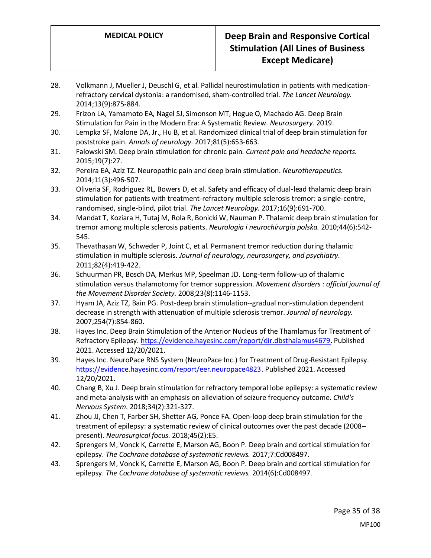- 28. Volkmann J, Mueller J, Deuschl G, et al. Pallidal neurostimulation in patients with medicationrefractory cervical dystonia: a randomised, sham-controlled trial. *The Lancet Neurology.*  2014;13(9):875-884.
- 29. Frizon LA, Yamamoto EA, Nagel SJ, Simonson MT, Hogue O, Machado AG. Deep Brain Stimulation for Pain in the Modern Era: A Systematic Review. *Neurosurgery.* 2019.
- 30. Lempka SF, Malone DA, Jr., Hu B, et al. Randomized clinical trial of deep brain stimulation for poststroke pain. *Annals of neurology.* 2017;81(5):653-663.
- 31. Falowski SM. Deep brain stimulation for chronic pain. *Current pain and headache reports.*  2015;19(7):27.
- 32. Pereira EA, Aziz TZ. Neuropathic pain and deep brain stimulation. *Neurotherapeutics.*  2014;11(3):496-507.
- 33. Oliveria SF, Rodriguez RL, Bowers D, et al. Safety and efficacy of dual-lead thalamic deep brain stimulation for patients with treatment-refractory multiple sclerosis tremor: a single-centre, randomised, single-blind, pilot trial. *The Lancet Neurology.* 2017;16(9):691-700.
- 34. Mandat T, Koziara H, Tutaj M, Rola R, Bonicki W, Nauman P. Thalamic deep brain stimulation for tremor among multiple sclerosis patients. *Neurologia i neurochirurgia polska.* 2010;44(6):542- 545.
- 35. Thevathasan W, Schweder P, Joint C, et al. Permanent tremor reduction during thalamic stimulation in multiple sclerosis. *Journal of neurology, neurosurgery, and psychiatry.*  2011;82(4):419-422.
- 36. Schuurman PR, Bosch DA, Merkus MP, Speelman JD. Long-term follow-up of thalamic stimulation versus thalamotomy for tremor suppression. *Movement disorders : official journal of the Movement Disorder Society.* 2008;23(8):1146-1153.
- 37. Hyam JA, Aziz TZ, Bain PG. Post-deep brain stimulation--gradual non-stimulation dependent decrease in strength with attenuation of multiple sclerosis tremor. *Journal of neurology.*  2007;254(7):854-860.
- 38. Hayes Inc. Deep Brain Stimulation of the Anterior Nucleus of the Thamlamus for Treatment of Refractory Epilepsy[. https://evidence.hayesinc.com/report/dir.dbsthalamus4679.](https://evidence.hayesinc.com/report/dir.dbsthalamus4679) Published 2021. Accessed 12/20/2021.
- 39. Hayes Inc. NeuroPace RNS System (NeuroPace Inc.) for Treatment of Drug-Resistant Epilepsy. [https://evidence.hayesinc.com/report/eer.neuropace4823.](https://evidence.hayesinc.com/report/eer.neuropace4823) Published 2021. Accessed 12/20/2021.
- 40. Chang B, Xu J. Deep brain stimulation for refractory temporal lobe epilepsy: a systematic review and meta-analysis with an emphasis on alleviation of seizure frequency outcome. *Child's Nervous System.* 2018;34(2):321-327.
- 41. Zhou JJ, Chen T, Farber SH, Shetter AG, Ponce FA. Open-loop deep brain stimulation for the treatment of epilepsy: a systematic review of clinical outcomes over the past decade (2008– present). *Neurosurgical focus.* 2018;45(2):E5.
- 42. Sprengers M, Vonck K, Carrette E, Marson AG, Boon P. Deep brain and cortical stimulation for epilepsy. *The Cochrane database of systematic reviews.* 2017;7:Cd008497.
- 43. Sprengers M, Vonck K, Carrette E, Marson AG, Boon P. Deep brain and cortical stimulation for epilepsy. *The Cochrane database of systematic reviews.* 2014(6):Cd008497.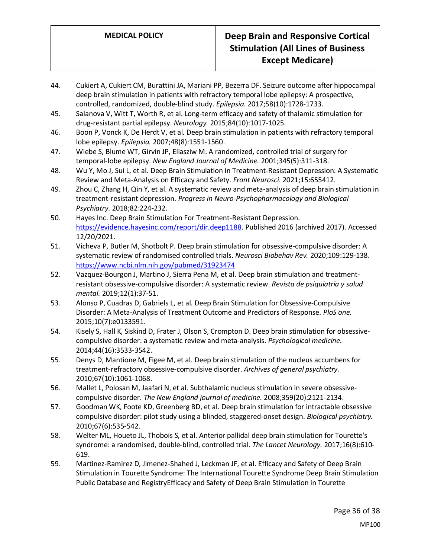- 44. Cukiert A, Cukiert CM, Burattini JA, Mariani PP, Bezerra DF. Seizure outcome after hippocampal deep brain stimulation in patients with refractory temporal lobe epilepsy: A prospective, controlled, randomized, double-blind study. *Epilepsia.* 2017;58(10):1728-1733.
- 45. Salanova V, Witt T, Worth R, et al. Long-term efficacy and safety of thalamic stimulation for drug-resistant partial epilepsy. *Neurology.* 2015;84(10):1017-1025.
- 46. Boon P, Vonck K, De Herdt V, et al. Deep brain stimulation in patients with refractory temporal lobe epilepsy. *Epilepsia.* 2007;48(8):1551-1560.
- 47. Wiebe S, Blume WT, Girvin JP, Eliasziw M. A randomized, controlled trial of surgery for temporal-lobe epilepsy. *New England Journal of Medicine.* 2001;345(5):311-318.
- 48. Wu Y, Mo J, Sui L, et al. Deep Brain Stimulation in Treatment-Resistant Depression: A Systematic Review and Meta-Analysis on Efficacy and Safety. *Front Neurosci.* 2021;15:655412.
- 49. Zhou C, Zhang H, Qin Y, et al. A systematic review and meta-analysis of deep brain stimulation in treatment-resistant depression. *Progress in Neuro-Psychopharmacology and Biological Psychiatry.* 2018;82:224-232.
- 50. Hayes Inc. Deep Brain Stimulation For Treatment-Resistant Depression. [https://evidence.hayesinc.com/report/dir.deep1188.](https://evidence.hayesinc.com/report/dir.deep1188) Published 2016 (archived 2017). Accessed 12/20/2021.
- 51. Vicheva P, Butler M, Shotbolt P. Deep brain stimulation for obsessive-compulsive disorder: A systematic review of randomised controlled trials. *Neurosci Biobehav Rev.* 2020;109:129-138. <https://www.ncbi.nlm.nih.gov/pubmed/31923474>
- 52. Vazquez-Bourgon J, Martino J, Sierra Pena M, et al. Deep brain stimulation and treatmentresistant obsessive-compulsive disorder: A systematic review. *Revista de psiquiatria y salud mental.* 2019;12(1):37-51.
- 53. Alonso P, Cuadras D, Gabriels L, et al. Deep Brain Stimulation for Obsessive-Compulsive Disorder: A Meta-Analysis of Treatment Outcome and Predictors of Response. *PloS one.*  2015;10(7):e0133591.
- 54. Kisely S, Hall K, Siskind D, Frater J, Olson S, Crompton D. Deep brain stimulation for obsessivecompulsive disorder: a systematic review and meta-analysis. *Psychological medicine.*  2014;44(16):3533-3542.
- 55. Denys D, Mantione M, Figee M, et al. Deep brain stimulation of the nucleus accumbens for treatment-refractory obsessive-compulsive disorder. *Archives of general psychiatry.*  2010;67(10):1061-1068.
- 56. Mallet L, Polosan M, Jaafari N, et al. Subthalamic nucleus stimulation in severe obsessivecompulsive disorder. *The New England journal of medicine.* 2008;359(20):2121-2134.
- 57. Goodman WK, Foote KD, Greenberg BD, et al. Deep brain stimulation for intractable obsessive compulsive disorder: pilot study using a blinded, staggered-onset design. *Biological psychiatry.*  2010;67(6):535-542.
- 58. Welter ML, Houeto JL, Thobois S, et al. Anterior pallidal deep brain stimulation for Tourette's syndrome: a randomised, double-blind, controlled trial. *The Lancet Neurology.* 2017;16(8):610- 619.
- 59. Martinez-Ramirez D, Jimenez-Shahed J, Leckman JF, et al. Efficacy and Safety of Deep Brain Stimulation in Tourette Syndrome: The International Tourette Syndrome Deep Brain Stimulation Public Database and RegistryEfficacy and Safety of Deep Brain Stimulation in Tourette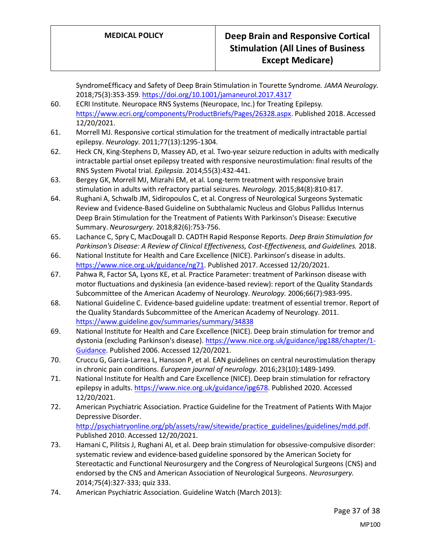SyndromeEfficacy and Safety of Deep Brain Stimulation in Tourette Syndrome. *JAMA Neurology.*  2018;75(3):353-359[. https://doi.org/10.1001/jamaneurol.2017.4317](https://doi.org/10.1001/jamaneurol.2017.4317)

- 60. ECRI Institute. Neuropace RNS Systems (Neuropace, Inc.) for Treating Epilepsy. [https://www.ecri.org/components/ProductBriefs/Pages/26328.aspx.](https://www.ecri.org/components/ProductBriefs/Pages/26328.aspx) Published 2018. Accessed 12/20/2021.
- 61. Morrell MJ. Responsive cortical stimulation for the treatment of medically intractable partial epilepsy. *Neurology.* 2011;77(13):1295-1304.
- 62. Heck CN, King‐Stephens D, Massey AD, et al. Two‐year seizure reduction in adults with medically intractable partial onset epilepsy treated with responsive neurostimulation: final results of the RNS System Pivotal trial. *Epilepsia.* 2014;55(3):432-441.
- 63. Bergey GK, Morrell MJ, Mizrahi EM, et al. Long-term treatment with responsive brain stimulation in adults with refractory partial seizures. *Neurology.* 2015;84(8):810-817.
- 64. Rughani A, Schwalb JM, Sidiropoulos C, et al. Congress of Neurological Surgeons Systematic Review and Evidence-Based Guideline on Subthalamic Nucleus and Globus Pallidus Internus Deep Brain Stimulation for the Treatment of Patients With Parkinson's Disease: Executive Summary. *Neurosurgery.* 2018;82(6):753-756.
- 65. Lachance C, Spry C, MacDougall D. CADTH Rapid Response Reports. *Deep Brain Stimulation for Parkinson's Disease: A Review of Clinical Effectiveness, Cost-Effectiveness, and Guidelines.* 2018.
- 66. National Institute for Health and Care Excellence (NICE). Parkinson's disease in adults. [https://www.nice.org.uk/guidance/ng71.](https://www.nice.org.uk/guidance/ng71) Published 2017. Accessed 12/20/2021.
- 67. Pahwa R, Factor SA, Lyons KE, et al. Practice Parameter: treatment of Parkinson disease with motor fluctuations and dyskinesia (an evidence-based review): report of the Quality Standards Subcommittee of the American Academy of Neurology. *Neurology.* 2006;66(7):983-995.
- 68. National Guideline C. Evidence-based guideline update: treatment of essential tremor. Report of the Quality Standards Subcommittee of the American Academy of Neurology. 2011. <https://www.guideline.gov/summaries/summary/34838>
- 69. National Institute for Health and Care Excellence (NICE). Deep brain stimulation for tremor and dystonia (excluding Parkinson's disease). [https://www.nice.org.uk/guidance/ipg188/chapter/1-](https://www.nice.org.uk/guidance/ipg188/chapter/1-Guidance) [Guidance.](https://www.nice.org.uk/guidance/ipg188/chapter/1-Guidance) Published 2006. Accessed 12/20/2021.
- 70. Cruccu G, Garcia-Larrea L, Hansson P, et al. EAN guidelines on central neurostimulation therapy in chronic pain conditions. *European journal of neurology.* 2016;23(10):1489-1499.
- 71. National Institute for Health and Care Excellence (NICE). Deep brain stimulation for refractory epilepsy in adults[. https://www.nice.org.uk/guidance/ipg678.](https://www.nice.org.uk/guidance/ipg678) Published 2020. Accessed 12/20/2021.
- 72. American Psychiatric Association. Practice Guideline for the Treatment of Patients With Major Depressive Disorder. [http://psychiatryonline.org/pb/assets/raw/sitewide/practice\\_guidelines/guidelines/mdd.pdf.](http://psychiatryonline.org/pb/assets/raw/sitewide/practice_guidelines/guidelines/mdd.pdf) Published 2010. Accessed 12/20/2021.
- 73. Hamani C, Pilitsis J, Rughani AI, et al. Deep brain stimulation for obsessive-compulsive disorder: systematic review and evidence-based guideline sponsored by the American Society for Stereotactic and Functional Neurosurgery and the Congress of Neurological Surgeons (CNS) and endorsed by the CNS and American Association of Neurological Surgeons. *Neurosurgery.*  2014;75(4):327-333; quiz 333.
- 74. American Psychiatric Association. Guideline Watch (March 2013):